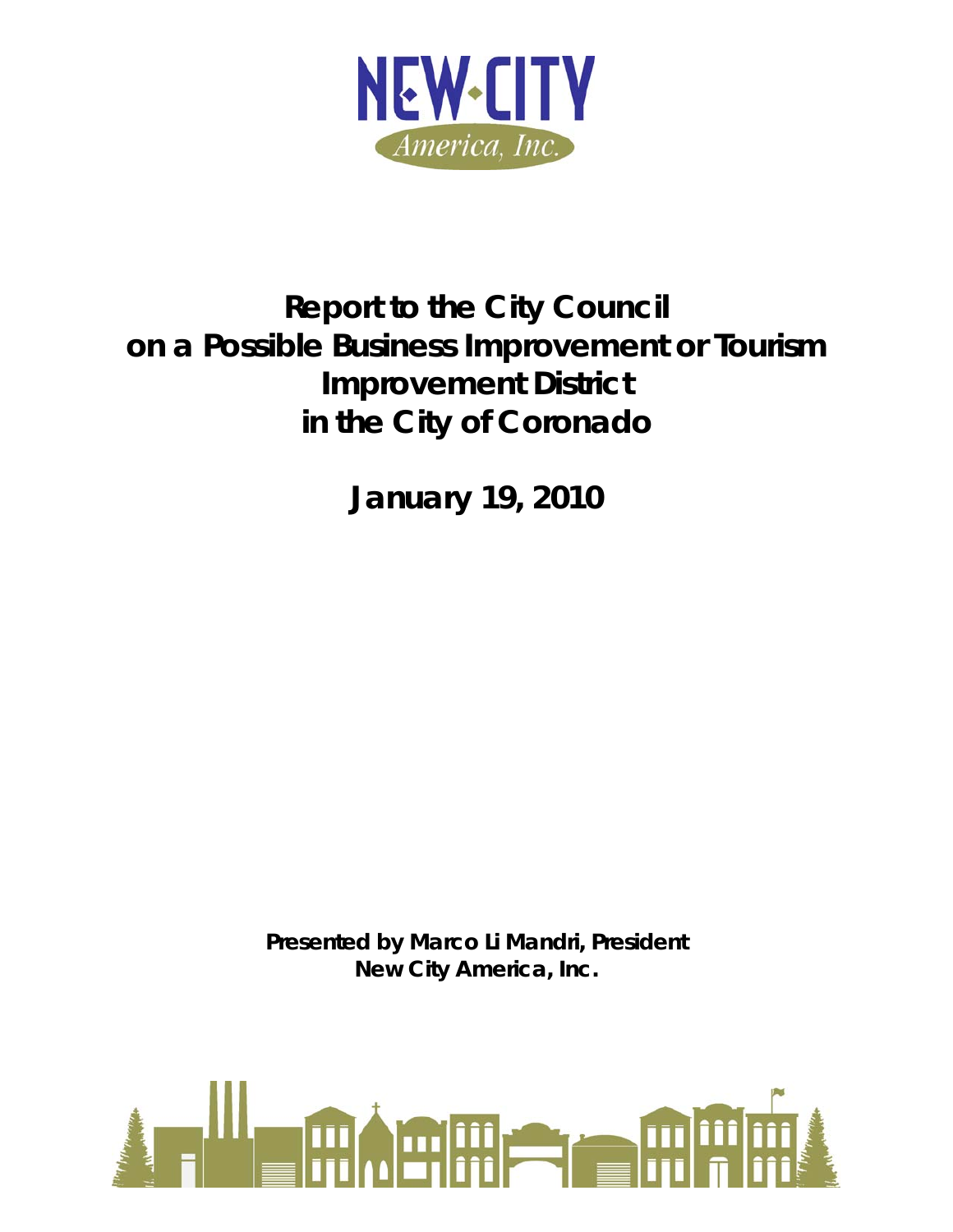

# **Report to the City Council on a Possible Business Improvement or Tourism Improvement District in the City of Coronado**

**January 19, 2010** 

*Presented by Marco Li Mandri, President New City America, Inc.* 

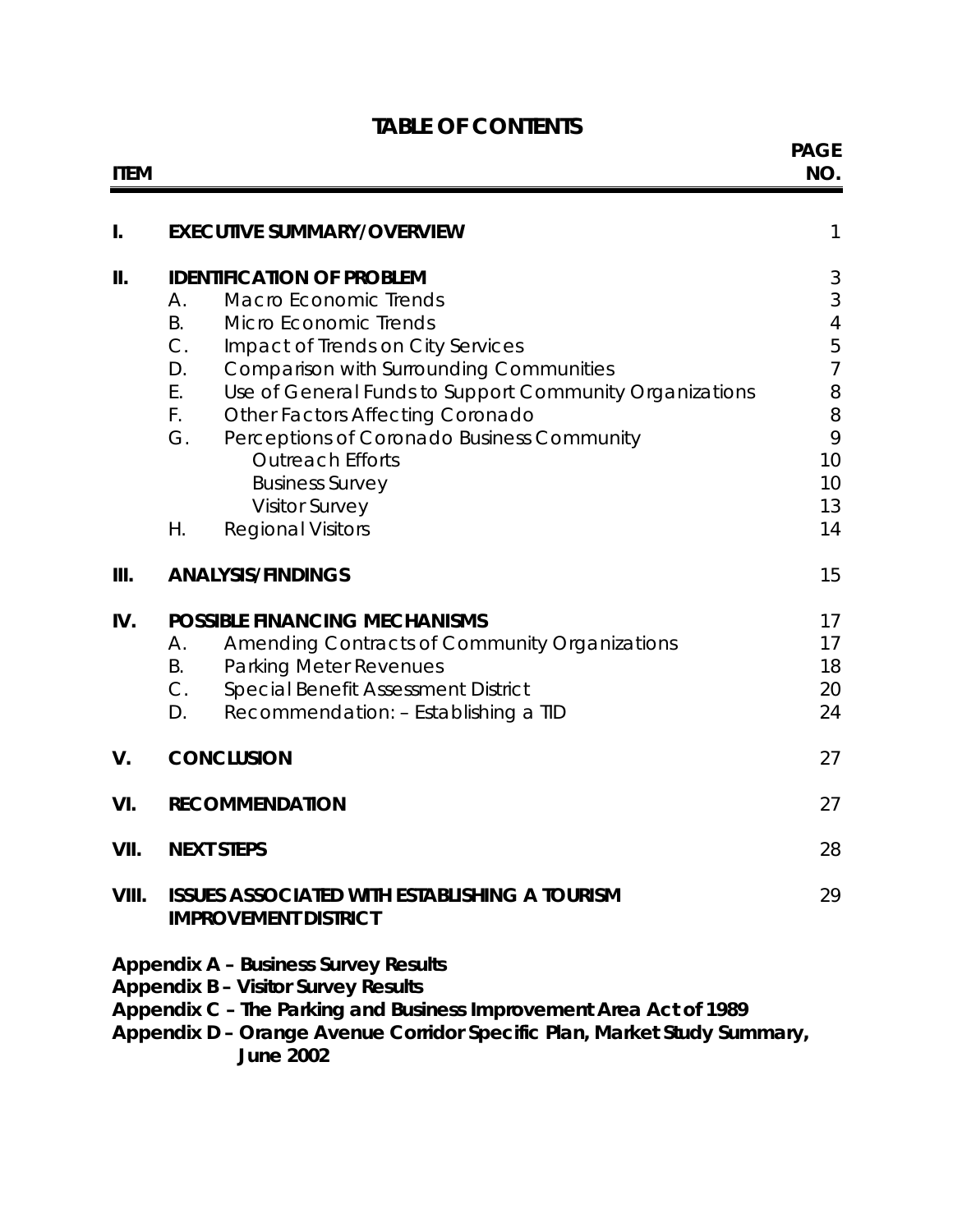## **TABLE OF CONTENTS**

| <b>ITEM</b> |                                                                                                                                                                                                                                                                                                                                                                                                                                                                                                                             | <b>PAGE</b><br>NO.                                                                                        |
|-------------|-----------------------------------------------------------------------------------------------------------------------------------------------------------------------------------------------------------------------------------------------------------------------------------------------------------------------------------------------------------------------------------------------------------------------------------------------------------------------------------------------------------------------------|-----------------------------------------------------------------------------------------------------------|
| I.          | <b>EXECUTIVE SUMMARY/OVERVIEW</b>                                                                                                                                                                                                                                                                                                                                                                                                                                                                                           | 1                                                                                                         |
| П.          | <b>IDENTIFICATION OF PROBLEM</b><br><b>Macro Economic Trends</b><br>Α.<br><b>B.</b><br><b>Micro Economic Trends</b><br>$C$ .<br>Impact of Trends on City Services<br>D.<br><b>Comparison with Surrounding Communities</b><br>Use of General Funds to Support Community Organizations<br>Ε.<br>$F_{\rm{eff}}$<br><b>Other Factors Affecting Coronado</b><br>G.<br>Perceptions of Coronado Business Community<br><b>Outreach Efforts</b><br><b>Business Survey</b><br><b>Visitor Survey</b><br>Η.<br><b>Regional Visitors</b> | 3<br>$\sqrt{3}$<br>$\overline{4}$<br>5<br>$\overline{7}$<br>$\, 8$<br>$\, 8$<br>9<br>10<br>10<br>13<br>14 |
| Ш.          | <b>ANALYSIS/FINDINGS</b>                                                                                                                                                                                                                                                                                                                                                                                                                                                                                                    | 15                                                                                                        |
| IV.         | <b>POSSIBLE FINANCING MECHANISMS</b><br><b>Amending Contracts of Community Organizations</b><br>А.<br><b>Parking Meter Revenues</b><br>В.<br>С.<br>Special Benefit Assessment District<br>Recommendation: - Establishing a TID<br>D.                                                                                                                                                                                                                                                                                        | 17<br>17<br>18<br>20<br>24                                                                                |
| V.          | <b>CONCLUSION</b>                                                                                                                                                                                                                                                                                                                                                                                                                                                                                                           | 27                                                                                                        |
| VI.         | <b>RECOMMENDATION</b>                                                                                                                                                                                                                                                                                                                                                                                                                                                                                                       | 27                                                                                                        |
| VII.        | <b>NEXT STEPS</b>                                                                                                                                                                                                                                                                                                                                                                                                                                                                                                           | 28                                                                                                        |
| VIII.       | <b>ISSUES ASSOCIATED WITH ESTABLISHING A TOURISM</b><br><b>IMPROVEMENT DISTRICT</b>                                                                                                                                                                                                                                                                                                                                                                                                                                         | 29                                                                                                        |
|             | <b>Appendix A - Business Survey Results</b><br><b>Appendix B - Visitor Survey Results</b><br>Appendix C - The Parking and Business Improvement Area Act of 1989<br>Appendix D - Orange Avenue Corridor Specific Plan, Market Study Summary,<br><b>June 2002</b>                                                                                                                                                                                                                                                             |                                                                                                           |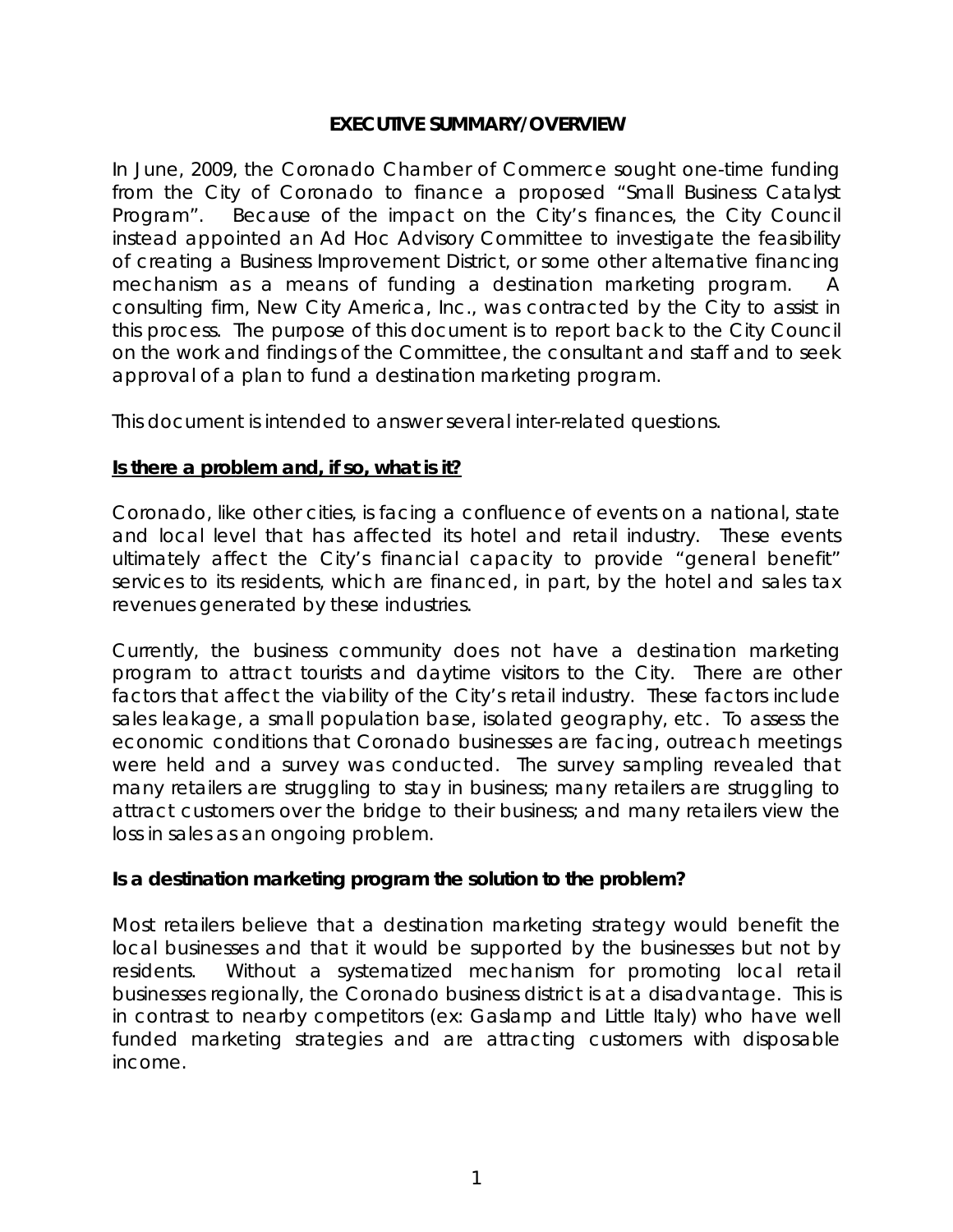## **EXECUTIVE SUMMARY/OVERVIEW**

In June, 2009, the Coronado Chamber of Commerce sought one-time funding from the City of Coronado to finance a proposed "Small Business Catalyst Program". Because of the impact on the City's finances, the City Council instead appointed an Ad Hoc Advisory Committee to investigate the feasibility of creating a Business Improvement District, or some other alternative financing mechanism as a means of funding a destination marketing program. consulting firm, New City America, Inc., was contracted by the City to assist in this process. The purpose of this document is to report back to the City Council on the work and findings of the Committee, the consultant and staff and to seek approval of a plan to fund a destination marketing program.

This document is intended to answer several inter-related questions.

## **Is there a problem and, if so, what is it?**

Coronado, like other cities, is facing a confluence of events on a national, state and local level that has affected its hotel and retail industry. These events ultimately affect the City's financial capacity to provide "general benefit" services to its residents, which are financed, in part, by the hotel and sales tax revenues generated by these industries.

Currently, the business community does not have a destination marketing program to attract tourists and daytime visitors to the City. There are other factors that affect the viability of the City's retail industry. These factors include sales leakage, a small population base, isolated geography, etc. To assess the economic conditions that Coronado businesses are facing, outreach meetings were held and a survey was conducted. The survey sampling revealed that many retailers are struggling to stay in business; many retailers are struggling to attract customers over the bridge to their business; and many retailers view the loss in sales as an ongoing problem.

## **Is a destination marketing program the solution to the problem?**

Most retailers believe that a destination marketing strategy would benefit the local businesses and that it would be supported by the businesses but not by residents. Without a systematized mechanism for promoting local retail businesses regionally, the Coronado business district is at a disadvantage. This is in contrast to nearby competitors (ex: Gaslamp and Little Italy) who have well funded marketing strategies and are attracting customers with disposable income.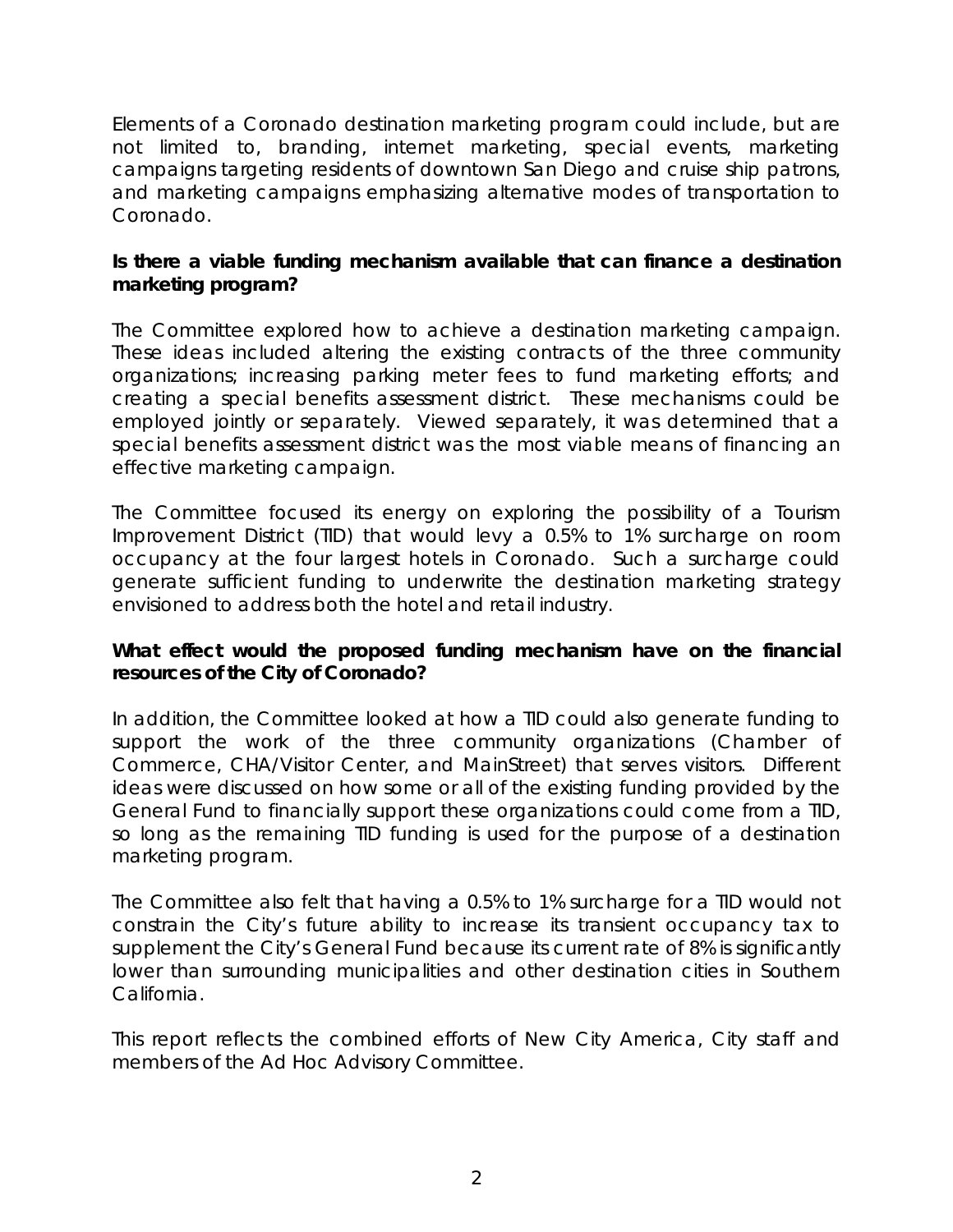Elements of a Coronado destination marketing program could include, but are not limited to, branding, internet marketing, special events, marketing campaigns targeting residents of downtown San Diego and cruise ship patrons, and marketing campaigns emphasizing alternative modes of transportation to Coronado.

## **Is there a viable funding mechanism available that can finance a destination marketing program?**

The Committee explored how to achieve a destination marketing campaign. These ideas included altering the existing contracts of the three community organizations; increasing parking meter fees to fund marketing efforts; and creating a special benefits assessment district. These mechanisms could be employed jointly or separately. Viewed separately, it was determined that a special benefits assessment district was the most viable means of financing an effective marketing campaign.

The Committee focused its energy on exploring the possibility of a Tourism Improvement District (TID) that would levy a 0.5% to 1% surcharge on room occupancy at the four largest hotels in Coronado. Such a surcharge could generate sufficient funding to underwrite the destination marketing strategy envisioned to address both the hotel and retail industry.

## **What effect would the proposed funding mechanism have on the financial resources of the City of Coronado?**

In addition, the Committee looked at how a TID could also generate funding to support the work of the three community organizations (Chamber of Commerce, CHA/Visitor Center, and MainStreet) that serves visitors. Different ideas were discussed on how some or all of the existing funding provided by the General Fund to financially support these organizations could come from a TID, so long as the remaining TID funding is used for the purpose of a destination marketing program.

The Committee also felt that having a 0.5% to 1% surcharge for a TID would not constrain the City's future ability to increase its transient occupancy tax to supplement the City's General Fund because its current rate of 8% is significantly lower than surrounding municipalities and other destination cities in Southern California.

This report reflects the combined efforts of New City America, City staff and members of the Ad Hoc Advisory Committee.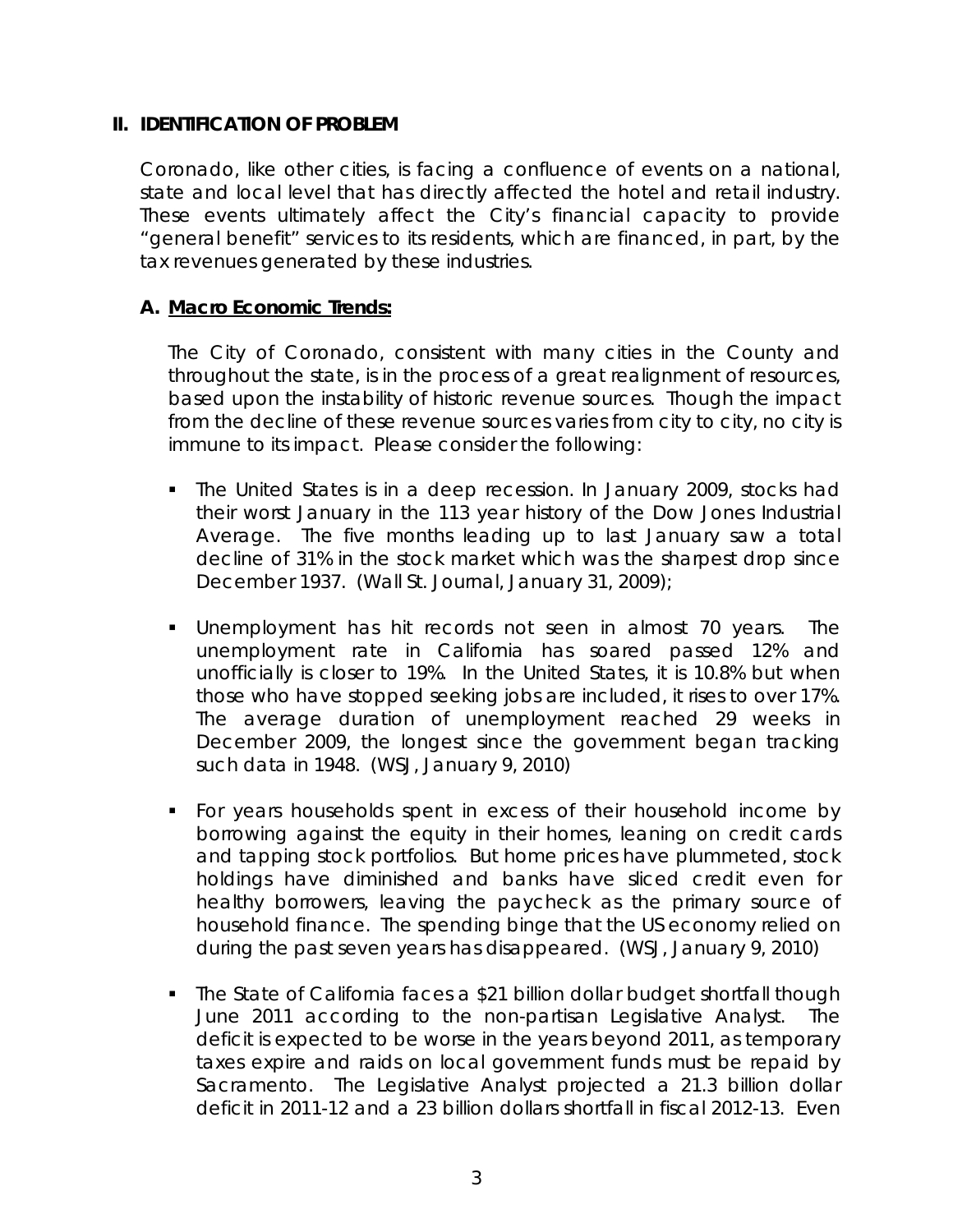## **II. IDENTIFICATION OF PROBLEM**

 Coronado, like other cities, is facing a confluence of events on a national, state and local level that has directly affected the hotel and retail industry. These events ultimately affect the City's financial capacity to provide "general benefit" services to its residents, which are financed, in part, by the tax revenues generated by these industries.

## **A. Macro Economic Trends:**

 The City of Coronado, consistent with many cities in the County and throughout the state, is in the process of a great realignment of resources, based upon the instability of historic revenue sources. Though the impact from the decline of these revenue sources varies from city to city, no city is immune to its impact. Please consider the following:

- The United States is in a deep recession. In January 2009, stocks had their worst January in the 113 year history of the Dow Jones Industrial Average. The five months leading up to last January saw a total decline of 31% in the stock market which was the sharpest drop since December 1937. (Wall St. Journal, January 31, 2009);
- Unemployment has hit records not seen in almost 70 years. The unemployment rate in California has soared passed 12% and unofficially is closer to 19%. In the United States, it is 10.8% but when those who have stopped seeking jobs are included, it rises to over 17%. The average duration of unemployment reached 29 weeks in December 2009, the longest since the government began tracking such data in 1948. (WSJ, January 9, 2010)
- For years households spent in excess of their household income by borrowing against the equity in their homes, leaning on credit cards and tapping stock portfolios. But home prices have plummeted, stock holdings have diminished and banks have sliced credit even for healthy borrowers, leaving the paycheck as the primary source of household finance. The spending binge that the US economy relied on during the past seven years has disappeared. (WSJ, January 9, 2010)
- The State of California faces a \$21 billion dollar budget shortfall though June 2011 according to the non-partisan Legislative Analyst. The deficit is expected to be worse in the years beyond 2011, as temporary taxes expire and raids on local government funds must be repaid by Sacramento. The Legislative Analyst projected a 21.3 billion dollar deficit in 2011-12 and a 23 billion dollars shortfall in fiscal 2012-13. Even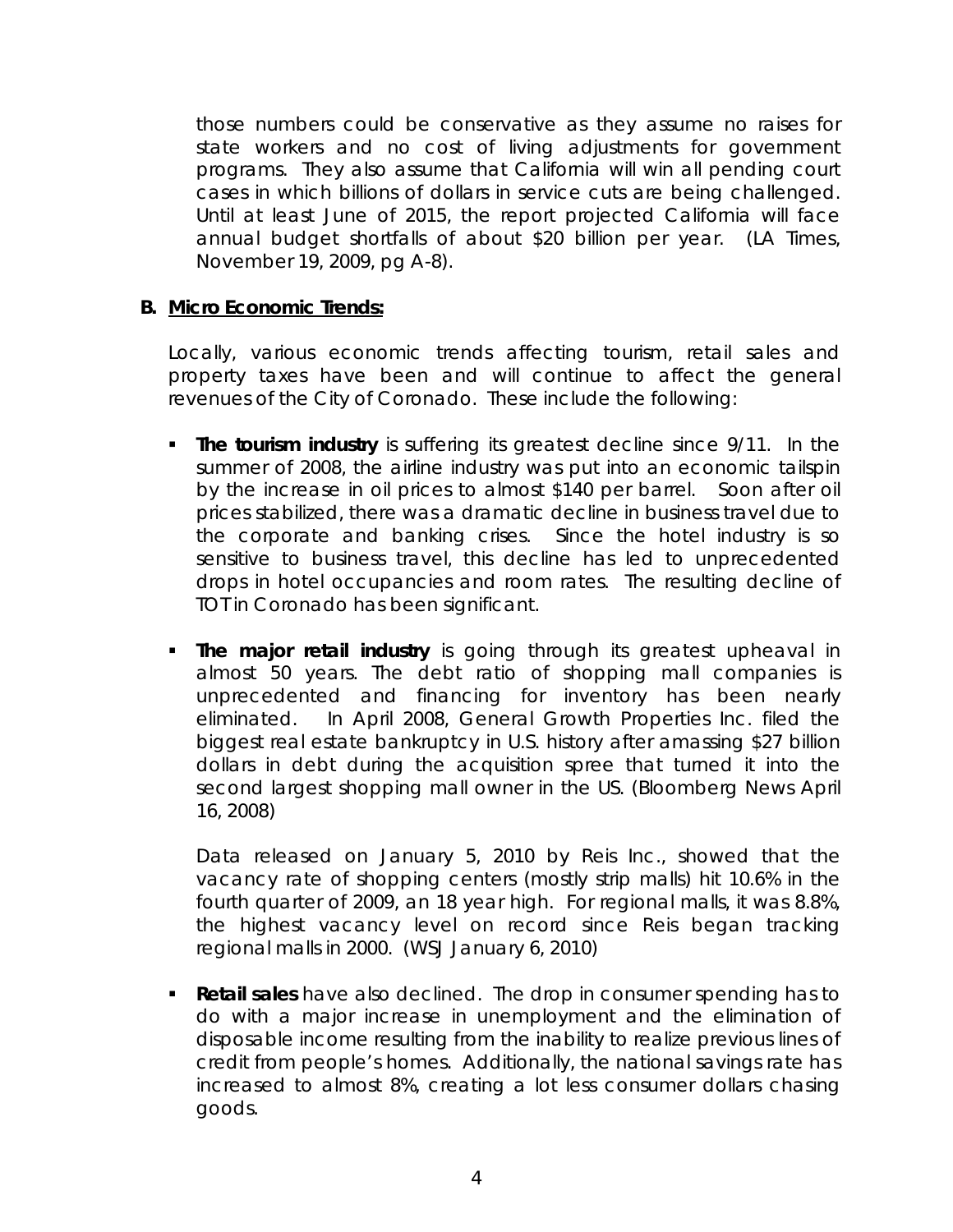those numbers could be conservative as they assume no raises for state workers and no cost of living adjustments for government programs. They also assume that California will win all pending court cases in which billions of dollars in service cuts are being challenged. Until at least June of 2015, the report projected California will face annual budget shortfalls of about \$20 billion per year. (LA Times, November 19, 2009, pg A-8).

## **B. Micro Economic Trends:**

 Locally, various economic trends affecting tourism, retail sales and property taxes have been and will continue to affect the general revenues of the City of Coronado. These include the following:

- **The tourism industry** is suffering its greatest decline since 9/11. In the summer of 2008, the airline industry was put into an economic tailspin by the increase in oil prices to almost \$140 per barrel. Soon after oil prices stabilized, there was a dramatic decline in business travel due to the corporate and banking crises. Since the hotel industry is so sensitive to business travel, this decline has led to unprecedented drops in hotel occupancies and room rates. The resulting decline of TOT in Coronado has been significant.
- **The major retail industry** is going through its greatest upheaval in almost 50 years. The debt ratio of shopping mall companies is unprecedented and financing for inventory has been nearly eliminated. In April 2008, General Growth Properties Inc. filed the biggest real estate bankruptcy in U.S. history after amassing \$27 billion dollars in debt during the acquisition spree that turned it into the second largest shopping mall owner in the US. (Bloomberg News April 16, 2008)

 Data released on January 5, 2010 by Reis Inc., showed that the vacancy rate of shopping centers (mostly strip malls) hit 10.6% in the fourth quarter of 2009, an 18 year high. For regional malls, it was 8.8%, the highest vacancy level on record since Reis began tracking regional malls in 2000. (WSJ January 6, 2010)

 **Retail sales** have also declined. The drop in consumer spending has to do with a major increase in unemployment and the elimination of disposable income resulting from the inability to realize previous lines of credit from people's homes. Additionally, the national savings rate has increased to almost 8%, creating a lot less consumer dollars chasing goods.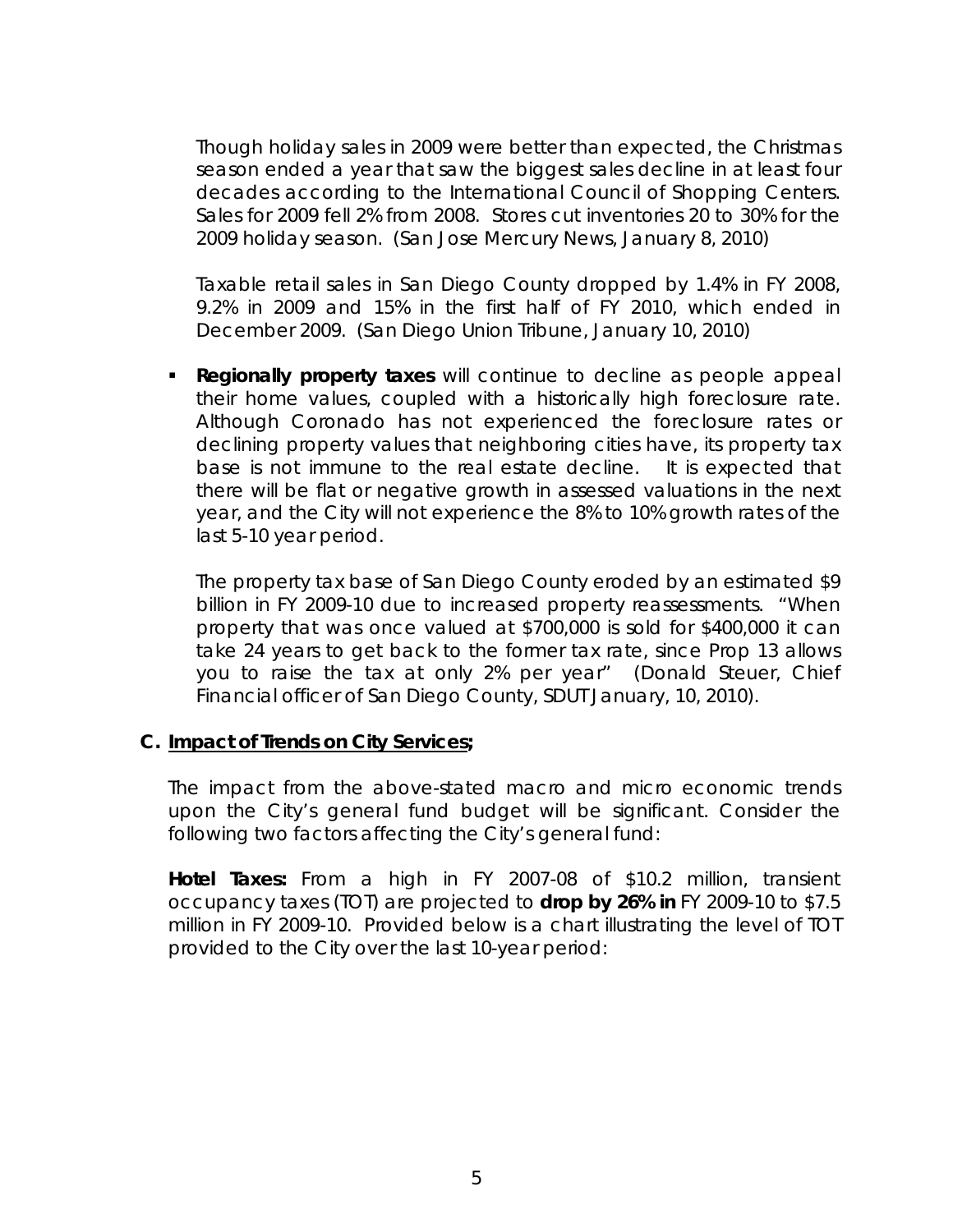Though holiday sales in 2009 were better than expected, the Christmas season ended a year that saw the biggest sales decline in at least four decades according to the International Council of Shopping Centers. Sales for 2009 fell 2% from 2008. Stores cut inventories 20 to 30% for the 2009 holiday season. (San Jose Mercury News, January 8, 2010)

Taxable retail sales in San Diego County dropped by 1.4% in FY 2008, 9.2% in 2009 and 15% in the first half of FY 2010, which ended in December 2009. (San Diego Union Tribune, January 10, 2010)

**Regionally property taxes** will continue to decline as people appeal their home values, coupled with a historically high foreclosure rate. Although Coronado has not experienced the foreclosure rates or declining property values that neighboring cities have, its property tax base is not immune to the real estate decline. It is expected that there will be flat or negative growth in assessed valuations in the next year, and the City will not experience the 8% to 10% growth rates of the last 5-10 year period.

 The property tax base of San Diego County eroded by an estimated \$9 billion in FY 2009-10 due to increased property reassessments. "When property that was once valued at \$700,000 is sold for \$400,000 it can take 24 years to get back to the former tax rate, since Prop 13 allows you to raise the tax at only 2% per year" (Donald Steuer, Chief Financial officer of San Diego County, SDUT January, 10, 2010).

### **C. Impact of Trends on City Services;**

 The impact from the above-stated macro and micro economic trends upon the City's general fund budget will be significant. Consider the following two factors affecting the City's general fund:

*Hotel Taxes: From a high in* FY 2007-08 of \$10.2 million, transient occupancy taxes (TOT) are projected to **drop by 26% in** FY 2009-10 to \$7.5 million in FY 2009-10. Provided below is a chart illustrating the level of TOT provided to the City over the last 10-year period: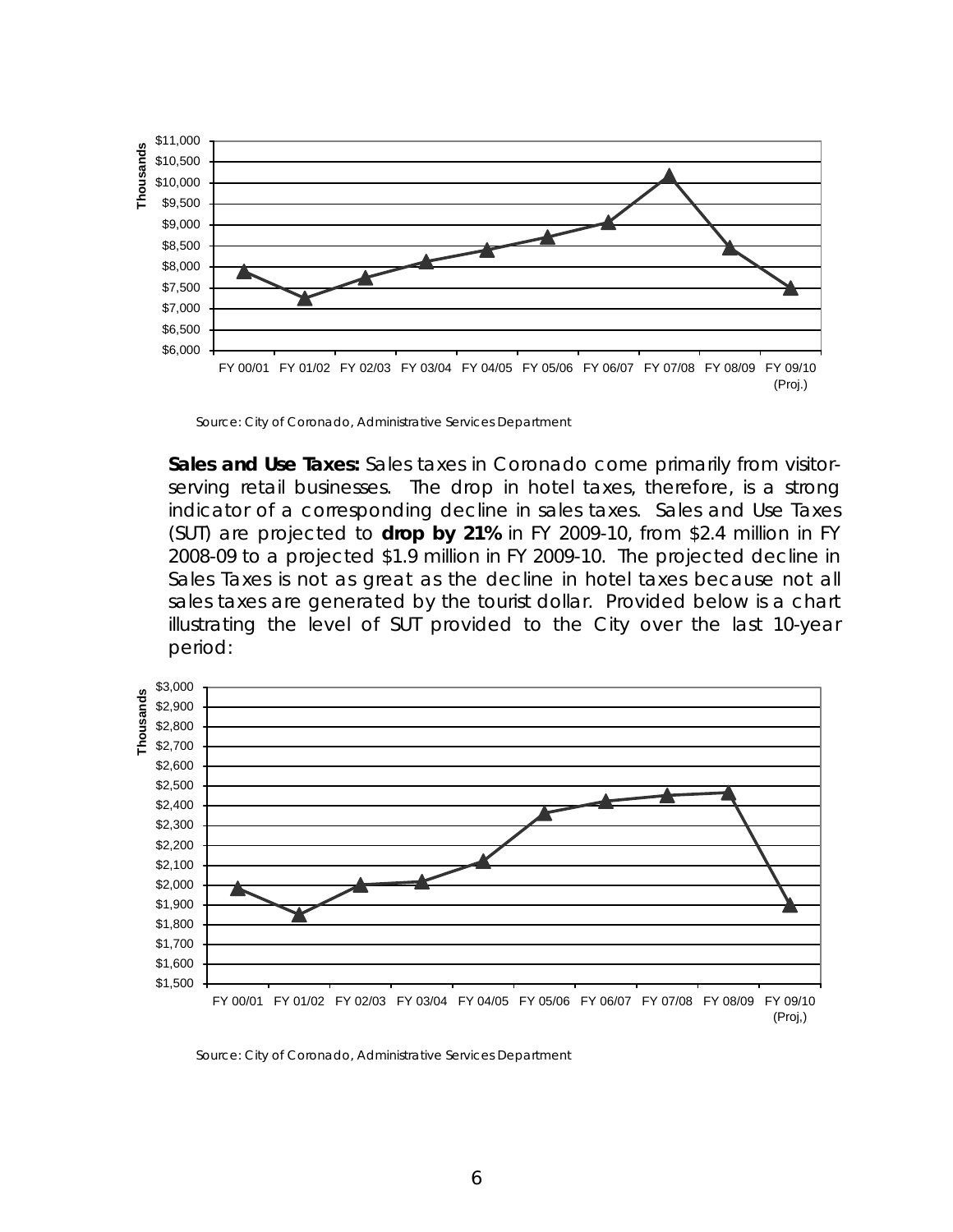

Source: City of Coronado, Administrative Services Department

 *Sales and Use Taxes***:** Sales taxes in Coronado come primarily from visitorserving retail businesses. The drop in hotel taxes, therefore, is a strong indicator of a corresponding decline in sales taxes. Sales and Use Taxes (SUT) are projected to **drop by 21%** in FY 2009-10, from \$2.4 million in FY 2008-09 to a projected \$1.9 million in FY 2009-10. The projected decline in Sales Taxes is not as great as the decline in hotel taxes because not all sales taxes are generated by the tourist dollar. Provided below is a chart illustrating the level of SUT provided to the City over the last 10-year period:



(Proj,)

Source: City of Coronado, Administrative Services Department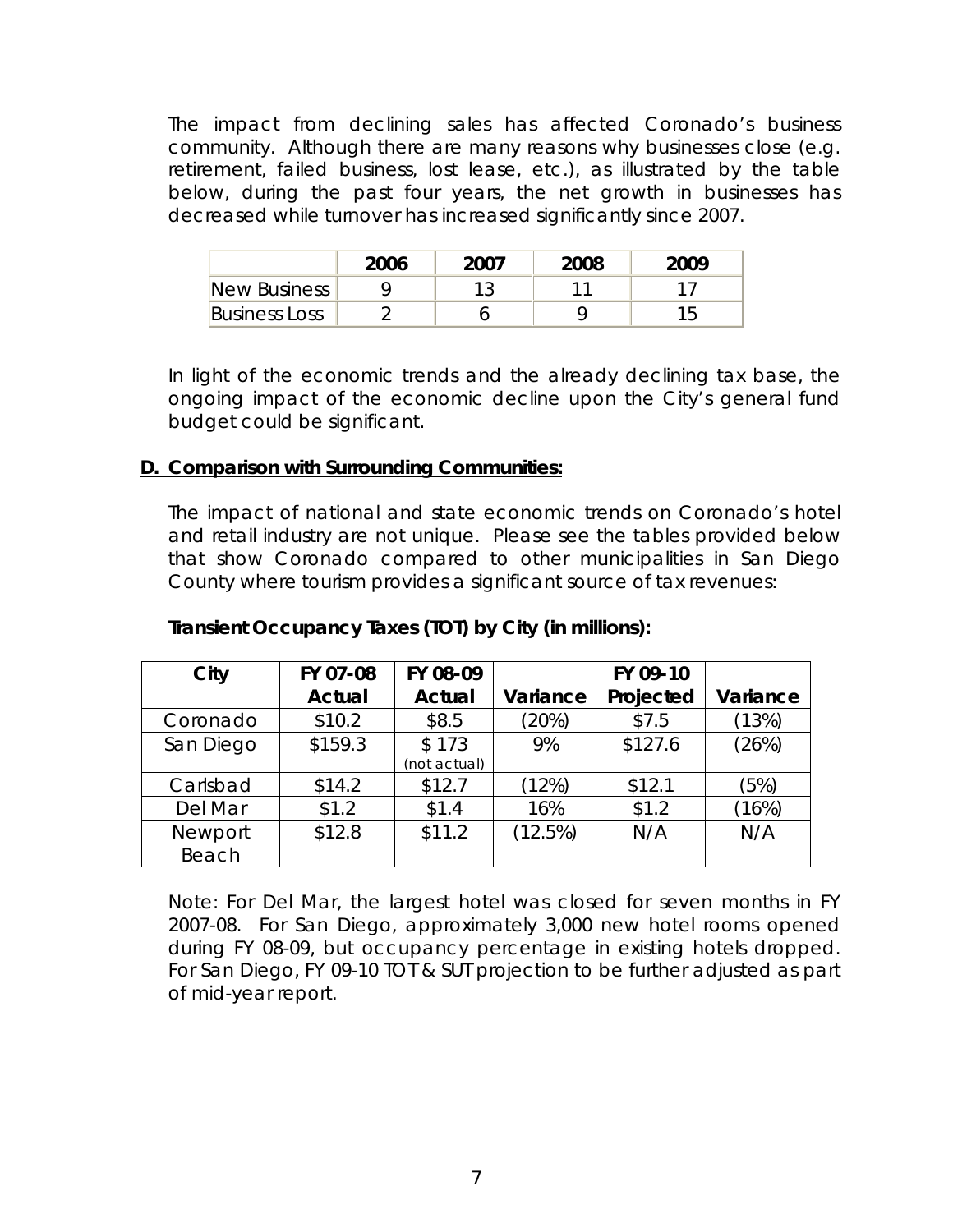The impact from declining sales has affected Coronado's business community. Although there are many reasons why businesses close (e.g. retirement, failed business, lost lease, etc.), as illustrated by the table below, during the past four years, the net growth in businesses has decreased while turnover has increased significantly since 2007.

|                      | 2006 | 2007 | 2008 | 2009 |
|----------------------|------|------|------|------|
| New Business         |      |      |      |      |
| <b>Business Loss</b> |      |      |      |      |

In light of the economic trends and the already declining tax base, the ongoing impact of the economic decline upon the City's general fund budget could be significant.

## **D. Comparison with Surrounding Communities:**

The impact of national and state economic trends on Coronado's hotel and retail industry are not unique. Please see the tables provided below that show Coronado compared to other municipalities in San Diego County where tourism provides a significant source of tax revenues:

| City      | FY 07-08      | FY 08-09      |          | FY 09-10  |          |
|-----------|---------------|---------------|----------|-----------|----------|
|           | <b>Actual</b> | <b>Actual</b> | Variance | Projected | Variance |
| Coronado  | \$10.2        | \$8.5         | (20%)    | \$7.5     | (13%)    |
| San Diego | \$159.3       | \$173         | 9%       | \$127.6   | (26%)    |
|           |               | (not actual)  |          |           |          |
| Carlsbad  | \$14.2        | \$12.7        | (12%)    | \$12.1    | (5%)     |
| Del Mar   | \$1.2         | \$1.4         | 16%      | \$1.2     | (16%)    |
| Newport   | \$12.8        | \$11.2        | (12.5%)  | N/A       | N/A      |
| Beach     |               |               |          |           |          |

## *Transient Occupancy Taxes (TOT) by City (in millions):*

Note: For Del Mar, the largest hotel was closed for seven months in FY 2007-08. For San Diego, approximately 3,000 new hotel rooms opened during FY 08-09, but occupancy percentage in existing hotels dropped. For San Diego, FY 09-10 TOT & SUT projection to be further adjusted as part of mid-year report.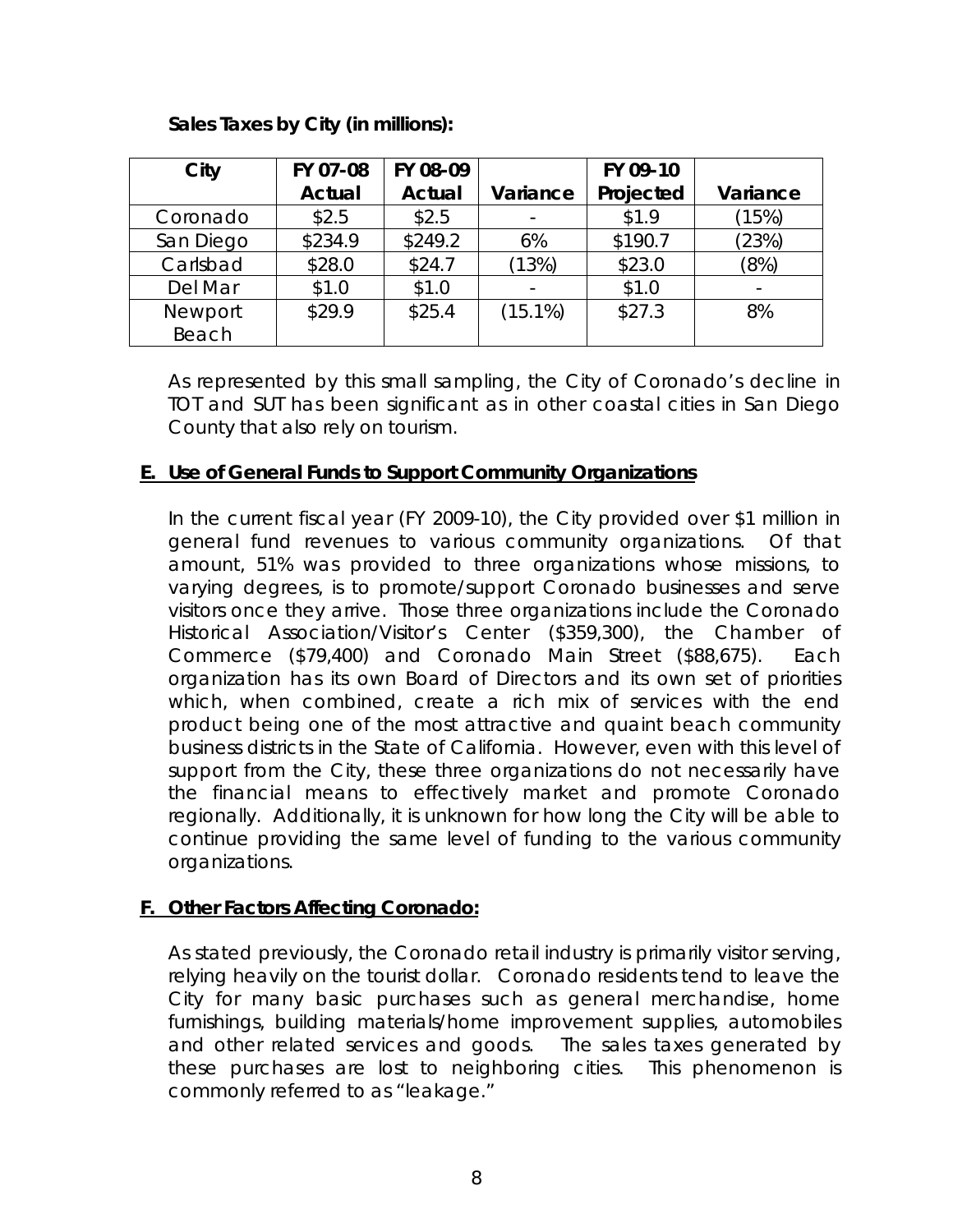## *Sales Taxes by City (in millions):*

| City      | FY 07-08      | FY 08-09      |            | FY 09-10  |          |
|-----------|---------------|---------------|------------|-----------|----------|
|           | <b>Actual</b> | <b>Actual</b> | Variance   | Projected | Variance |
| Coronado  | \$2.5         | \$2.5         |            | \$1.9     | (15%)    |
| San Diego | \$234.9       | \$249.2       | 6%         | \$190.7   | (23%)    |
| Carlsbad  | \$28.0        | \$24.7        | (13%)      | \$23.0    | (8%)     |
| Del Mar   | \$1.0         | \$1.0         |            | \$1.0     |          |
| Newport   | \$29.9        | \$25.4        | $(15.1\%)$ | \$27.3    | 8%       |
| Beach     |               |               |            |           |          |

 As represented by this small sampling, the City of Coronado's decline in TOT and SUT has been significant as in other coastal cities in San Diego County that also rely on tourism.

## **E. Use of General Funds to Support Community Organizations**

 In the current fiscal year (FY 2009-10), the City provided over \$1 million in general fund revenues to various community organizations. Of that amount, 51% was provided to three organizations whose missions, to varying degrees, is to promote/support Coronado businesses and serve visitors once they arrive. Those three organizations include the Coronado Historical Association/Visitor's Center (\$359,300), the Chamber of Commerce (\$79,400) and Coronado Main Street (\$88,675). Each organization has its own Board of Directors and its own set of priorities which, when combined, create a rich mix of services with the end product being one of the most attractive and quaint beach community business districts in the State of California. However, even with this level of support from the City, these three organizations do not necessarily have the financial means to effectively market and promote Coronado regionally. Additionally, it is unknown for how long the City will be able to continue providing the same level of funding to the various community organizations.

## **F. Other Factors Affecting Coronado:**

As stated previously, the Coronado retail industry is primarily visitor serving, relying heavily on the tourist dollar. Coronado residents tend to leave the City for many basic purchases such as general merchandise, home furnishings, building materials/home improvement supplies, automobiles and other related services and goods. The sales taxes generated by these purchases are lost to neighboring cities. This phenomenon is commonly referred to as "leakage."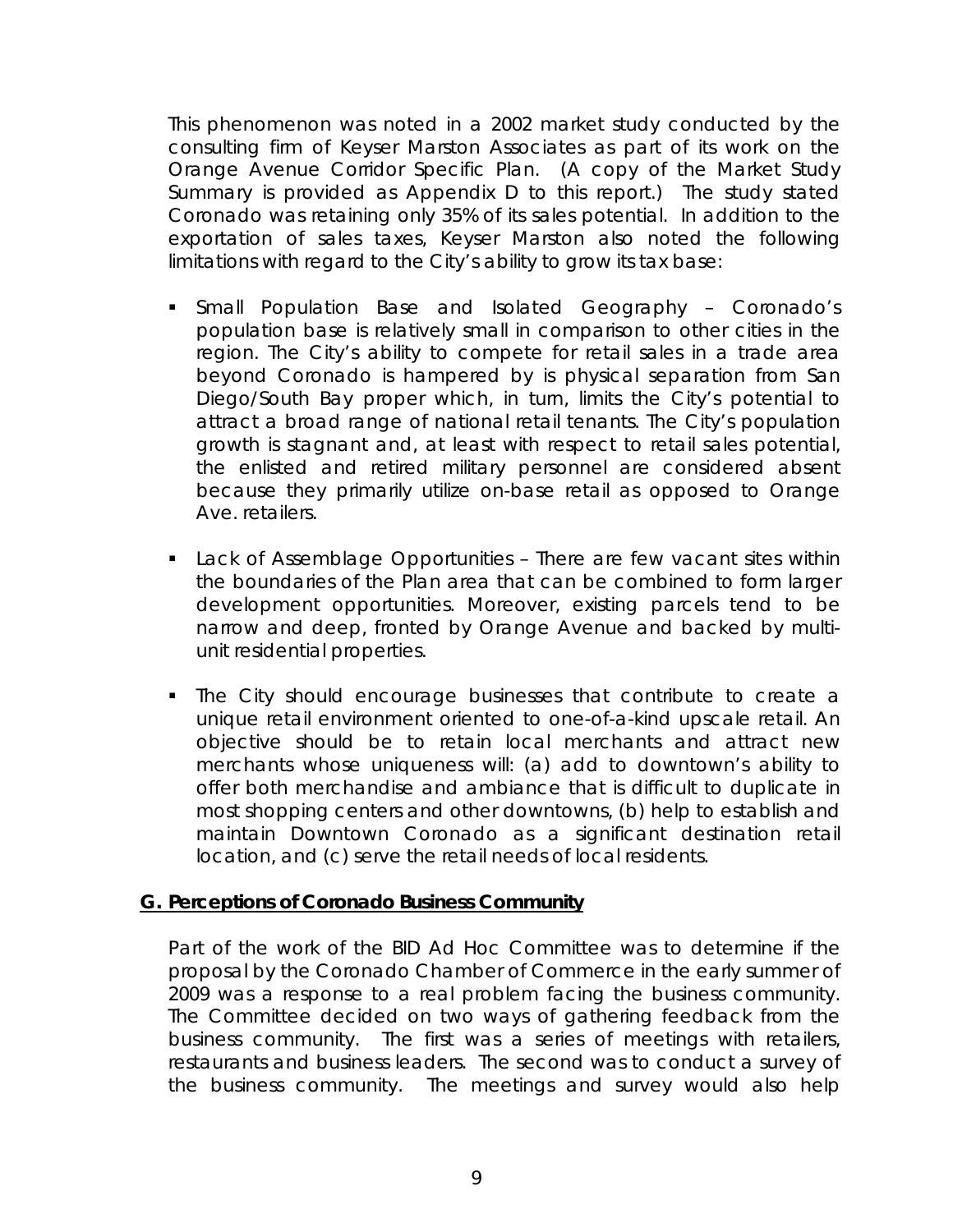This phenomenon was noted in a 2002 market study conducted by the consulting firm of Keyser Marston Associates as part of its work on the Orange Avenue Corridor Specific Plan. (A copy of the Market Study Summary is provided as Appendix D to this report.) The study stated Coronado was retaining only 35% of its sales potential. In addition to the exportation of sales taxes, Keyser Marston also noted the following limitations with regard to the City's ability to grow its tax base:

- *Small Population Base and Isolated Geography*  Coronado's population base is relatively small in comparison to other cities in the region. The City's ability to compete for retail sales in a trade area beyond Coronado is hampered by is physical separation from San Diego/South Bay proper which, in turn, limits the City's potential to attract a broad range of national retail tenants. The City's population growth is stagnant and, at least with respect to retail sales potential, the enlisted and retired military personnel are considered absent because they primarily utilize on-base retail as opposed to Orange Ave. retailers.
- *Lack of Assemblage Opportunities*  There are few vacant sites within the boundaries of the Plan area that can be combined to form larger development opportunities. Moreover, existing parcels tend to be narrow and deep, fronted by Orange Avenue and backed by multiunit residential properties.
- The City should encourage businesses that contribute to create a unique retail environment oriented to one-of-a-kind upscale retail. An objective should be to retain local merchants and attract new merchants whose uniqueness will: (a) add to downtown's ability to offer both merchandise and ambiance that is difficult to duplicate in most shopping centers and other downtowns, (b) help to establish and maintain Downtown Coronado as a significant destination retail location, and (c) serve the retail needs of local residents.

### **G. Perceptions of Coronado Business Community**

Part of the work of the BID Ad Hoc Committee was to determine if the proposal by the Coronado Chamber of Commerce in the early summer of 2009 was a response to a real problem facing the business community. The Committee decided on two ways of gathering feedback from the business community. The first was a series of meetings with retailers, restaurants and business leaders. The second was to conduct a survey of the business community. The meetings and survey would also help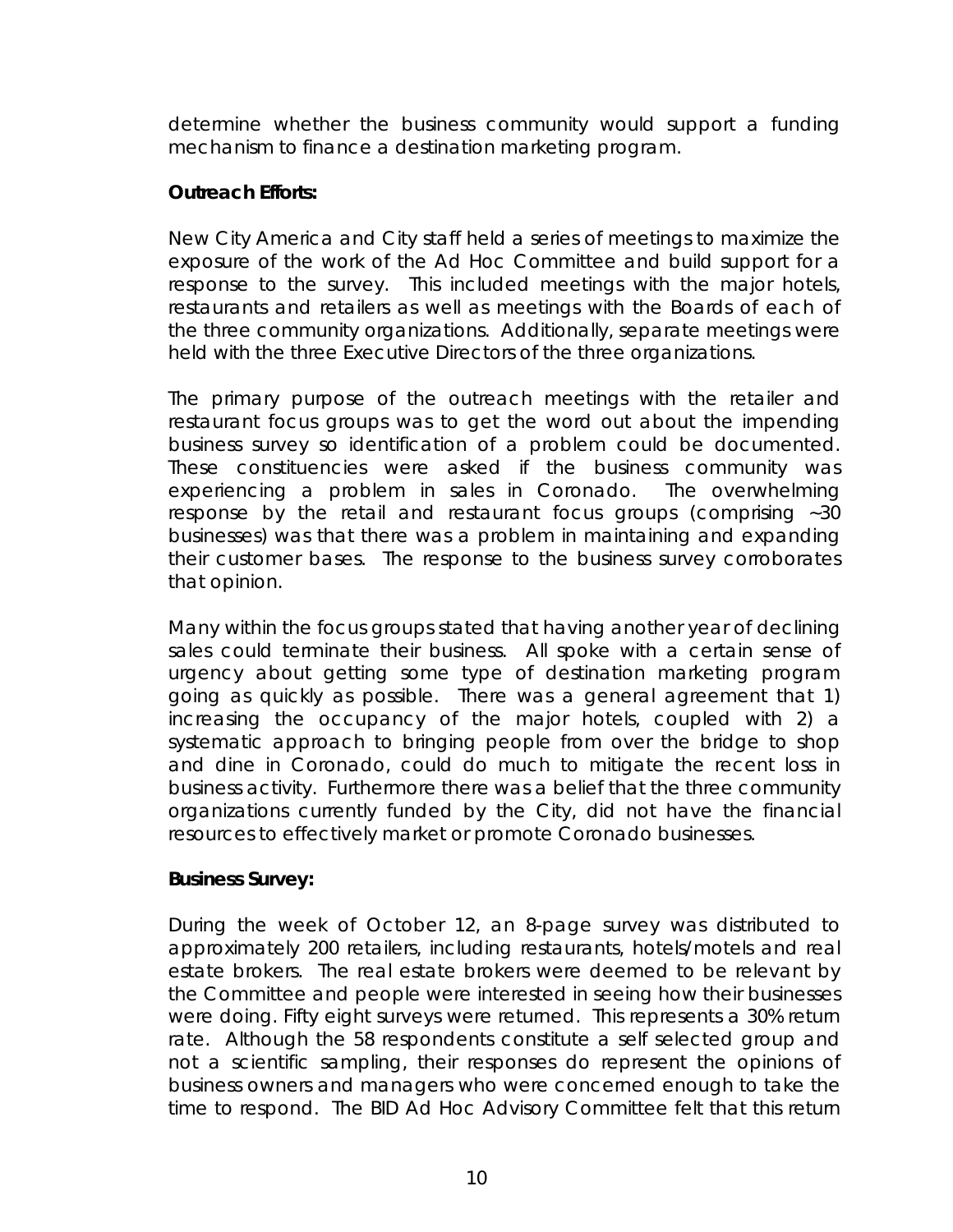determine whether the business community would support a funding mechanism to finance a destination marketing program.

## *Outreach Efforts:*

New City America and City staff held a series of meetings to maximize the exposure of the work of the Ad Hoc Committee and build support for a response to the survey. This included meetings with the major hotels, restaurants and retailers as well as meetings with the Boards of each of the three community organizations. Additionally, separate meetings were held with the three Executive Directors of the three organizations.

The primary purpose of the outreach meetings with the retailer and restaurant focus groups was to get the word out about the impending business survey so identification of a problem could be documented. These constituencies were asked if the business community was experiencing a problem in sales in Coronado. The overwhelming response by the retail and restaurant focus groups (comprising ~30 businesses) was that there was a problem in maintaining and expanding their customer bases. The response to the business survey corroborates that opinion.

Many within the focus groups stated that having another year of declining sales could terminate their business. All spoke with a certain sense of urgency about getting some type of destination marketing program going as quickly as possible. There was a general agreement that 1) increasing the occupancy of the major hotels, coupled with 2) a systematic approach to bringing people from over the bridge to shop and dine in Coronado, could do much to mitigate the recent loss in business activity. Furthermore there was a belief that the three community organizations currently funded by the City, did not have the financial resources to effectively market or promote Coronado businesses.

## *Business Survey:*

During the week of October 12, an 8-page survey was distributed to approximately 200 retailers, including restaurants, hotels/motels and real estate brokers. The real estate brokers were deemed to be relevant by the Committee and people were interested in seeing how their businesses were doing. Fifty eight surveys were returned. This represents a 30% return rate. Although the 58 respondents constitute a self selected group and not a scientific sampling, their responses do represent the opinions of business owners and managers who were concerned enough to take the time to respond. The BID Ad Hoc Advisory Committee felt that this return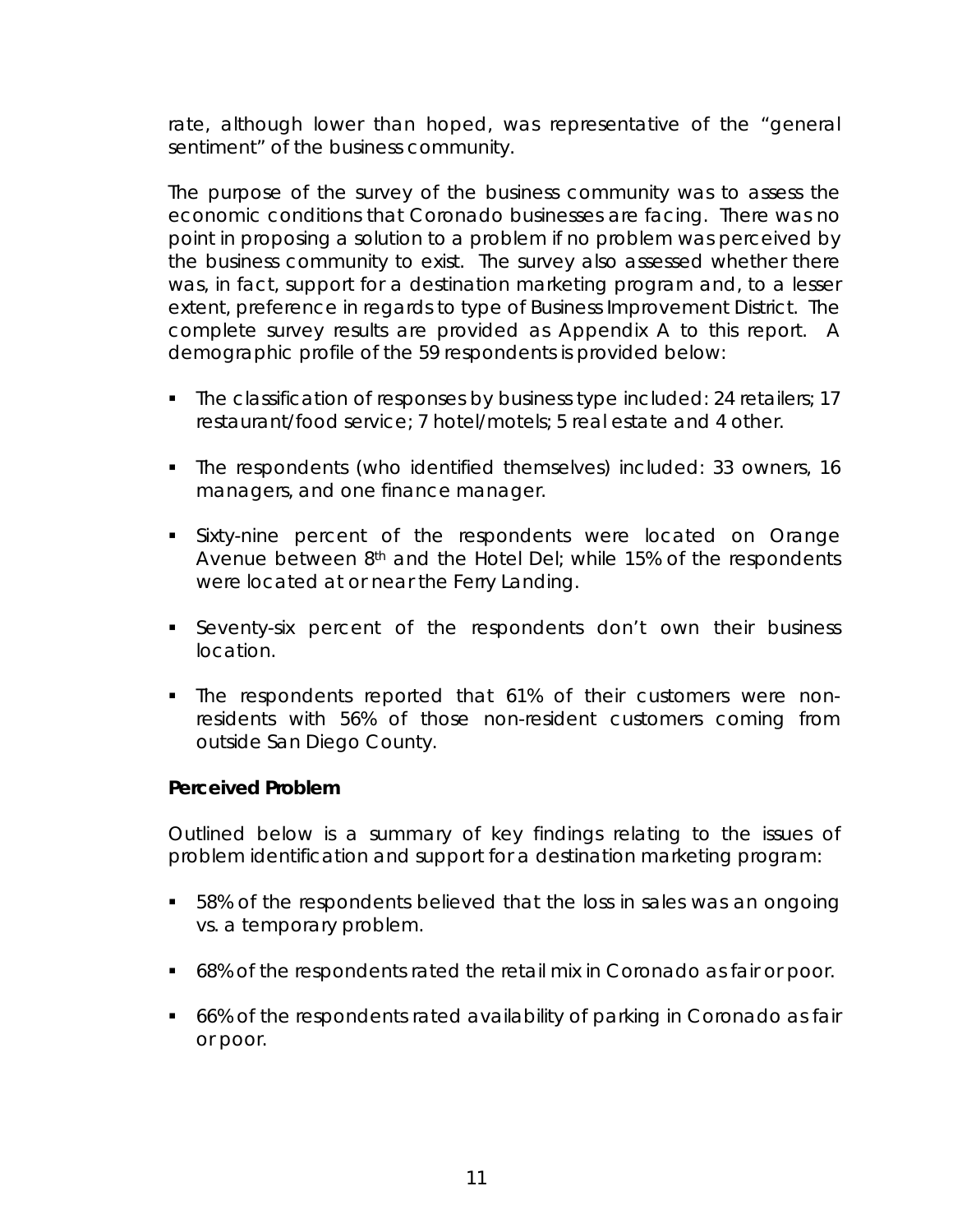rate, although lower than hoped, was representative of the "general sentiment" of the business community.

The purpose of the survey of the business community was to assess the economic conditions that Coronado businesses are facing. There was no point in proposing a solution to a problem if no problem was perceived by the business community to exist. The survey also assessed whether there was, in fact, support for a destination marketing program and, to a lesser extent, preference in regards to type of Business Improvement District. The complete survey results are provided as Appendix A to this report. A demographic profile of the 59 respondents is provided below:

- The classification of responses by business type included: 24 retailers; 17 restaurant/food service; 7 hotel/motels; 5 real estate and 4 other.
- The respondents (who identified themselves) included: 33 owners, 16 managers, and one finance manager.
- Sixty-nine percent of the respondents were located on Orange Avenue between 8<sup>th</sup> and the Hotel Del; while 15% of the respondents were located at or near the Ferry Landing.
- Seventy-six percent of the respondents don't own their business location.
- The respondents reported that 61% of their customers were nonresidents with 56% of those non-resident customers coming from outside San Diego County.

### *Perceived Problem*

Outlined below is a summary of key findings relating to the issues of problem identification and support for a destination marketing program:

- 58% of the respondents believed that the *loss in sales was an ongoing vs. a temporary problem.*
- 68% of the respondents rated the *retail mix in Coronado* as fair or poor.
- 66% of the respondents rated *availability of parking* in Coronado as fair or poor.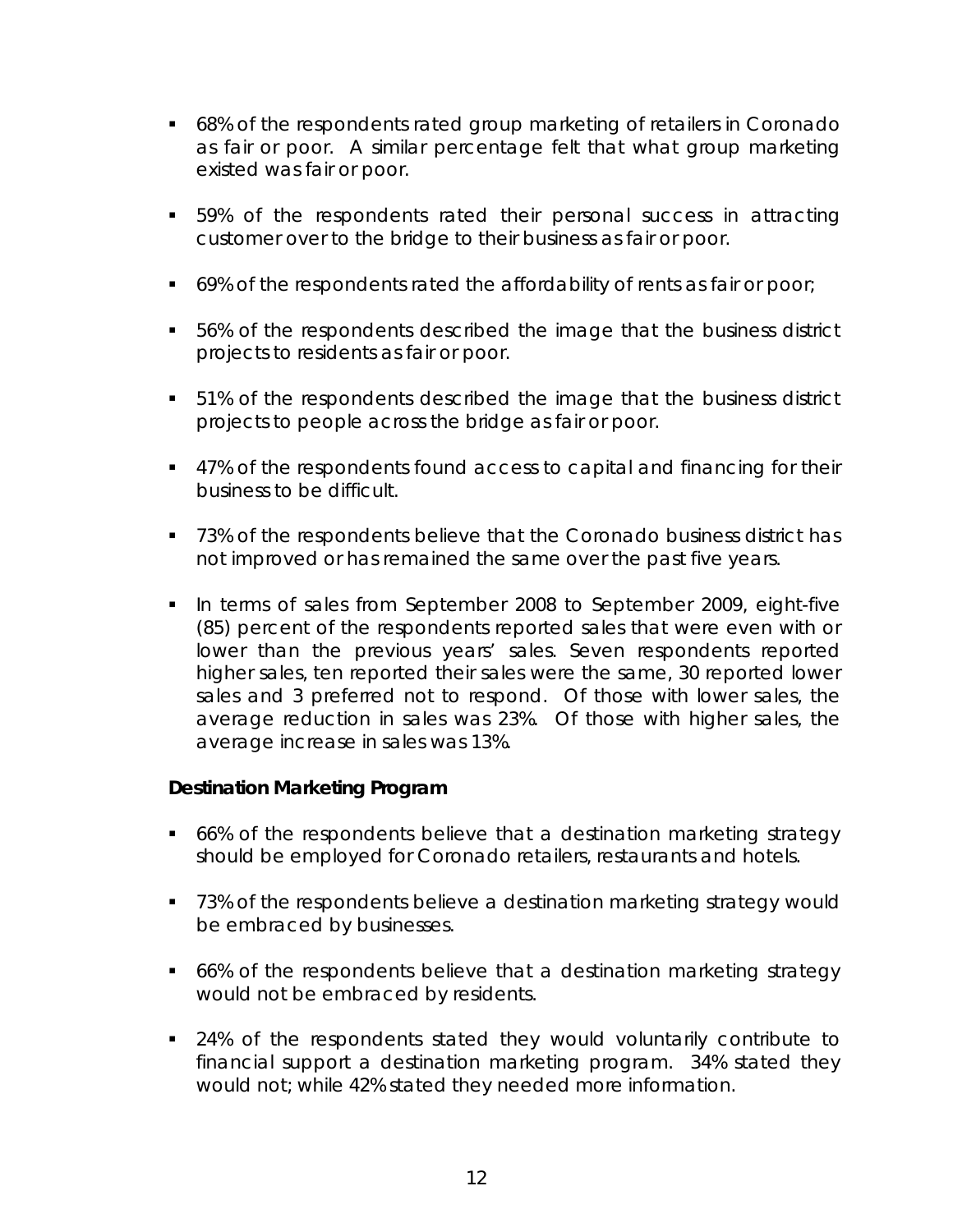- 68% of the respondents rated group *marketing of retailers in Coronado* as fair or poor. A similar percentage felt that what group marketing existed was fair or poor.
- 59% of the respondents rated *their personal success in attracting customer over to the bridge to their business* as fair or poor.
- 69% of the respondents rated the *affordability of rents as* fair or poor;
- 56% of the respondents described the image that the business district projects *to residents* as fair or poor.
- 51% of the respondents described the image that the business district projects *to people across the bridge* as fair or poor.
- 47% of the respondents found access to capital and financing for their business to be difficult.
- 73% of the respondents believe that the Coronado business district has not improved or has remained the same over the past five years.
- In terms of sales from September 2008 to September 2009, eight-five (85) percent of the respondents reported sales that were even with or lower than the previous years' sales. Seven respondents reported higher sales, ten reported their sales were the same, 30 reported lower sales and 3 preferred not to respond. *Of those with lower sales, the average reduction in sales was 23%. Of those with higher sales, the average increase in sales was 13%.*

## *Destination Marketing Program*

- 66% of the respondents believe that a destination marketing strategy should be employed for Coronado retailers, restaurants and hotels.
- **73% of the respondents believe a destination marketing strategy would** be embraced by businesses.
- 66% of the respondents believe that a destination marketing strategy would not be embraced by residents.
- 24% of the respondents stated they would voluntarily contribute to financial support a destination marketing program. 34% stated they would not; while 42% stated they needed more information.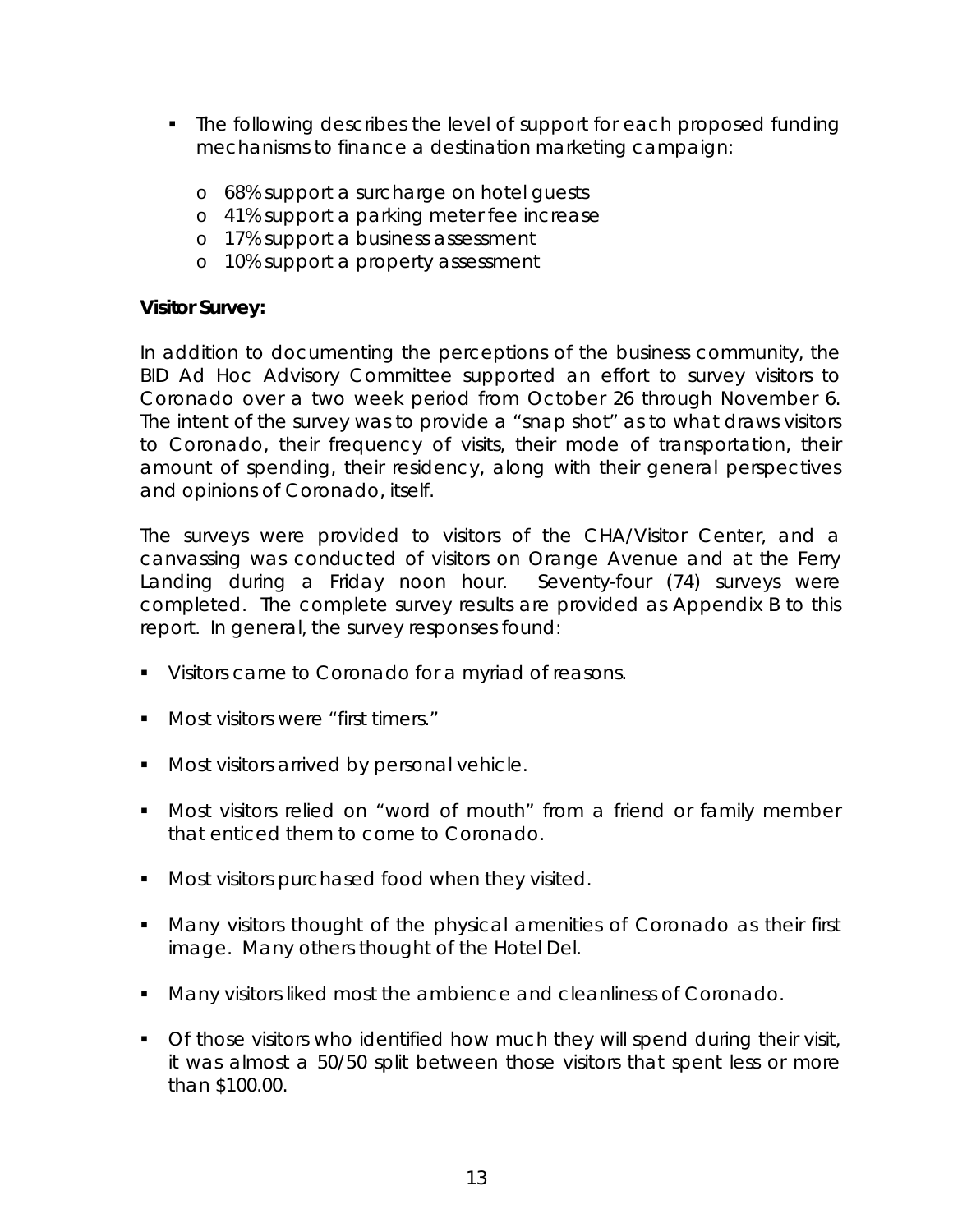- The following describes the level of support for each proposed funding mechanisms to finance a destination marketing campaign:
	- o 68% support a surcharge on hotel guests
	- o 41% support a parking meter fee increase
	- o 17% support a business assessment
	- o 10% support a property assessment

## *Visitor Survey:*

In addition to documenting the perceptions of the business community, the BID Ad Hoc Advisory Committee supported an effort to survey visitors to Coronado over a two week period from October 26 through November 6. The intent of the survey was to provide a "snap shot" as to what draws visitors to Coronado, their frequency of visits, their mode of transportation, their amount of spending, their residency, along with their general perspectives and opinions of Coronado, itself.

The surveys were provided to visitors of the CHA/Visitor Center, and a canvassing was conducted of visitors on Orange Avenue and at the Ferry Landing during a Friday noon hour. Seventy-four (74) surveys were completed. The complete survey results are provided as Appendix B to this report. In general, the survey responses found:

- **Visitors came to Coronado for a myriad of reasons.**
- **Most visitors were "first timers."**
- **Most visitors arrived by personal vehicle.**
- Most visitors relied on "word of mouth" from a friend or family member that enticed them to come to Coronado.
- **Most visitors purchased food when they visited.**
- Many visitors thought of the physical amenities of Coronado as their first image. Many others thought of the Hotel Del.
- **Many visitors liked most the ambience and cleanliness of Coronado.**
- Of those visitors who identified how much they will spend during their visit, it was almost a 50/50 split between those visitors that spent less or more than \$100.00.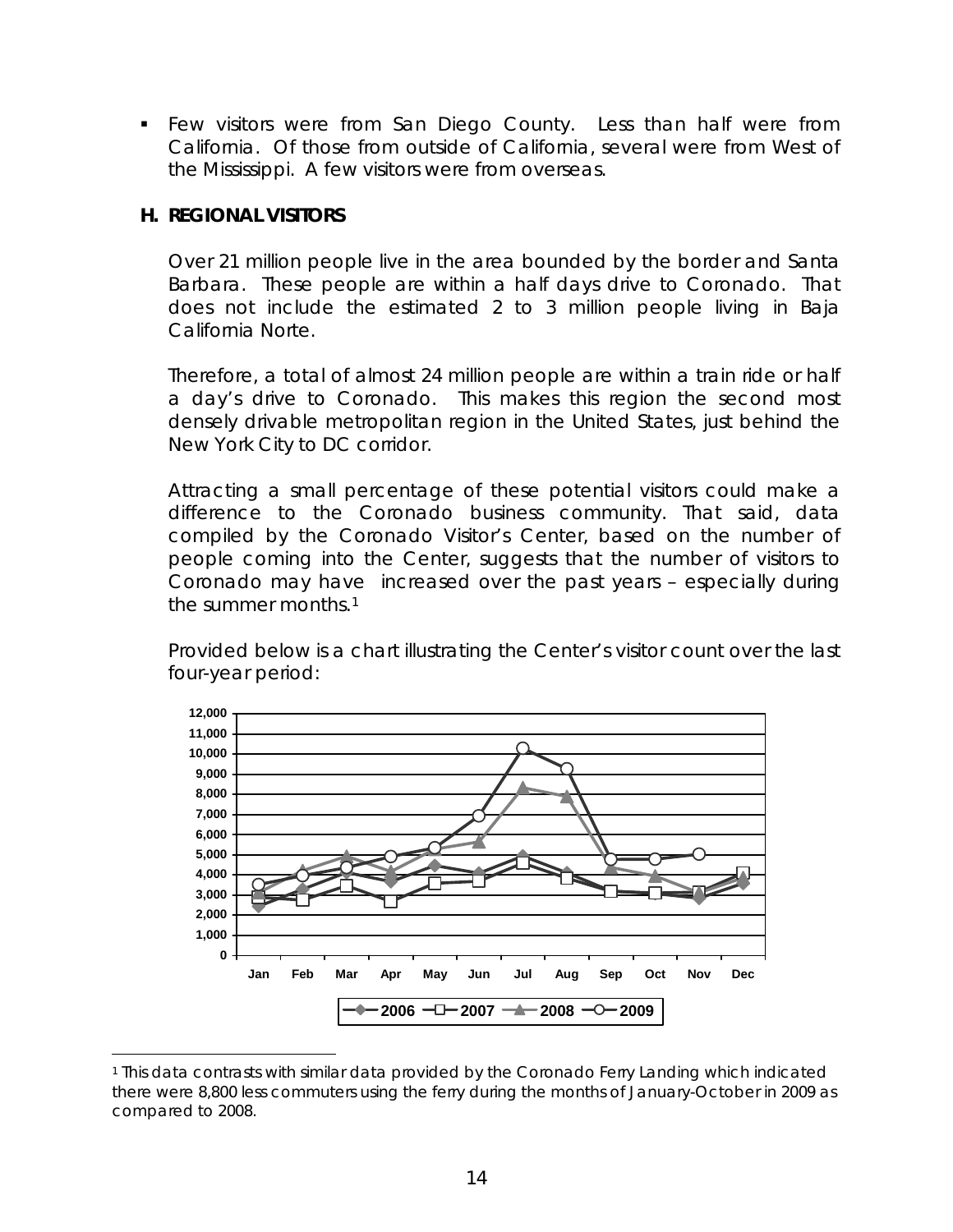Few visitors were from San Diego County. Less than half were from California. Of those from outside of California, several were from West of the Mississippi. A few visitors were from overseas.

## **H. REGIONAL VISITORS**

 $\overline{a}$ 

Over 21 million people live in the area bounded by the border and Santa Barbara. These people are within a half days drive to Coronado. That does not include the estimated 2 to 3 million people living in Baja California Norte.

Therefore, a total of almost 24 million people are within a train ride or half a day's drive to Coronado. This makes this region the second most densely drivable metropolitan region in the United States, just behind the New York City to DC corridor.

Attracting a small percentage of these potential visitors could make a difference to the Coronado business community. That said, data compiled by the Coronado Visitor's Center, based on the number of people coming into the Center, suggests that the number of visitors to Coronado may have increased over the past years – especially during the summer months.[1](#page-15-0)

Provided below is a chart illustrating the Center's visitor count over the last four-year period:



<span id="page-15-0"></span><sup>1</sup> This data contrasts with similar data provided by the Coronado Ferry Landing which indicated there were 8,800 less commuters using the ferry during the months of January-October in 2009 as compared to 2008.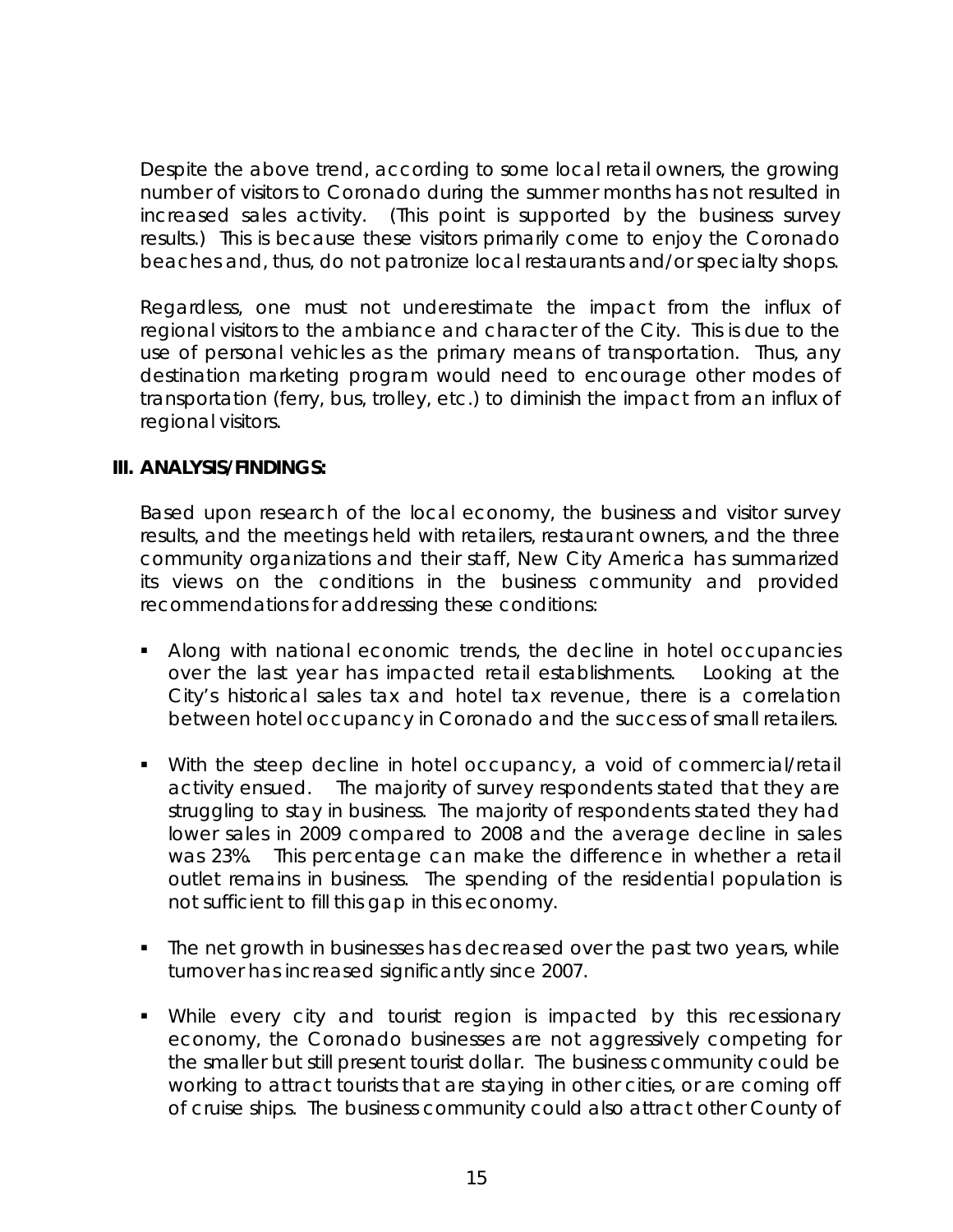Despite the above trend, according to some local retail owners, the growing number of visitors to Coronado during the summer months has not resulted in increased sales activity. (This point is supported by the business survey results.) This is because these visitors primarily come to enjoy the Coronado beaches and, thus, do not patronize local restaurants and/or specialty shops.

 Regardless, one must not underestimate the impact from the influx of regional visitors to the ambiance and character of the City. This is due to the use of personal vehicles as the primary means of transportation. Thus, any destination marketing program would need to encourage other modes of transportation (ferry, bus, trolley, etc.) to diminish the impact from an influx of regional visitors.

## **III. ANALYSIS/FINDINGS:**

Based upon research of the local economy, the business and visitor survey results, and the meetings held with retailers, restaurant owners, and the three community organizations and their staff, New City America has summarized its views on the conditions in the business community and provided recommendations for addressing these conditions:

- Along with national economic trends, the decline in hotel occupancies over the last year has impacted retail establishments. Looking at the City's historical sales tax and hotel tax revenue, there is a correlation between hotel occupancy in Coronado and the success of small retailers.
- With the steep decline in hotel occupancy, a void of commercial/retail activity ensued. The majority of survey respondents stated that they are struggling to stay in business. The majority of respondents stated they had lower sales in 2009 compared to 2008 and the average decline in sales was 23%. This percentage can make the difference in whether a retail outlet remains in business. The spending of the residential population is not sufficient to fill this gap in this economy.
- The net growth in businesses has decreased over the past two years, while turnover has increased significantly since 2007.
- While every city and tourist region is impacted by this recessionary economy, the Coronado businesses are not aggressively competing for the smaller but still present tourist dollar. The business community could be working to attract tourists that are staying in other cities, or are coming off of cruise ships. The business community could also attract other County of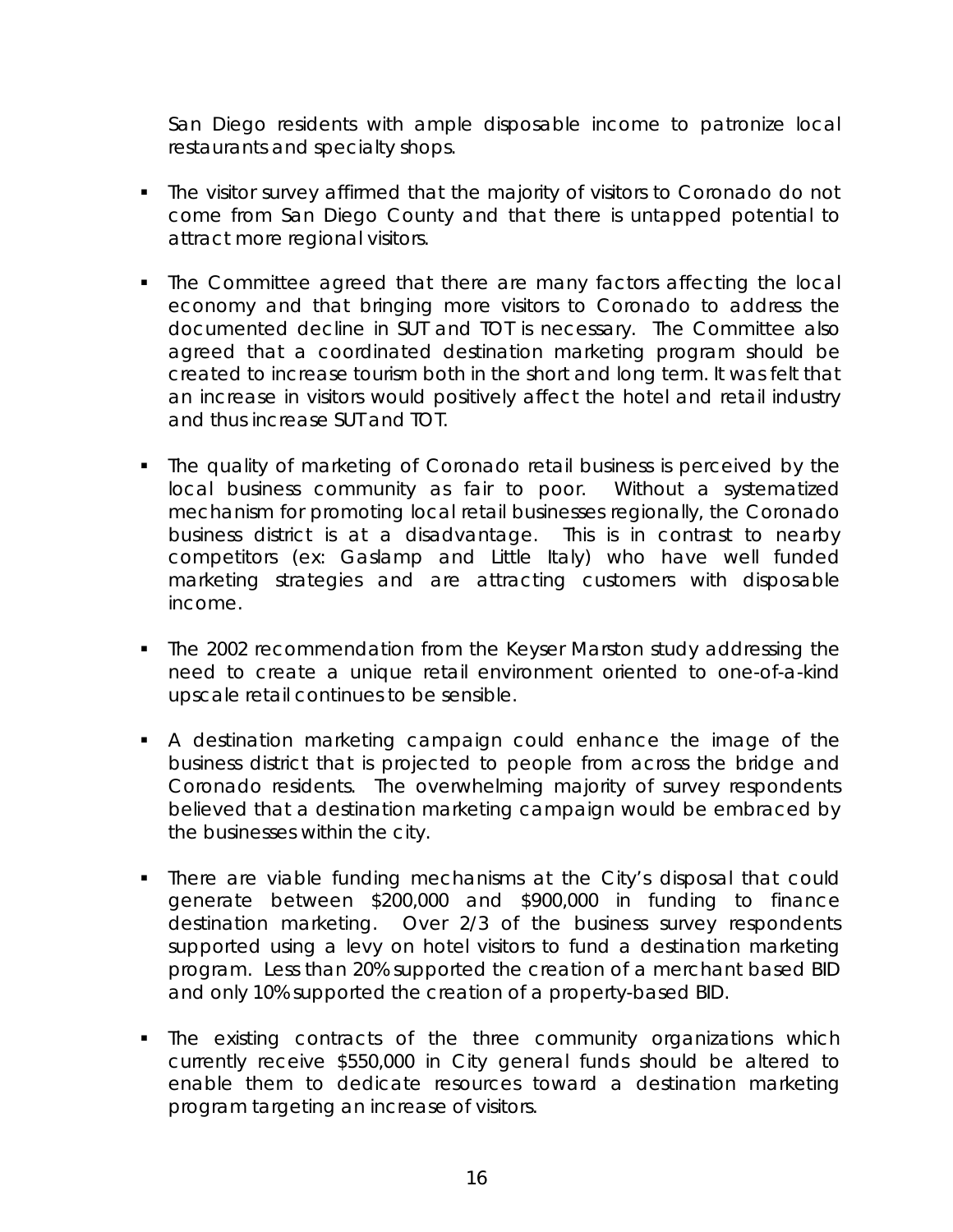San Diego residents with ample disposable income to patronize local restaurants and specialty shops.

- The visitor survey affirmed that the majority of visitors to Coronado do not come from San Diego County and that there is untapped potential to attract more regional visitors.
- The Committee agreed that there are many factors affecting the local economy and that bringing more visitors to Coronado to address the documented decline in SUT and TOT is necessary. The Committee also agreed that a coordinated destination marketing program should be created to increase tourism both in the short and long term. It was felt that an increase in visitors would positively affect the hotel and retail industry and thus increase SUT and TOT.
- The quality of marketing of Coronado retail business is perceived by the local business community as fair to poor. Without a systematized mechanism for promoting local retail businesses regionally, the Coronado business district is at a disadvantage. This is in contrast to nearby competitors (ex: Gaslamp and Little Italy) who have well funded marketing strategies and are attracting customers with disposable income.
- The 2002 recommendation from the Keyser Marston study addressing the need to create a unique retail environment oriented to one-of-a-kind upscale retail continues to be sensible.
- A destination marketing campaign could enhance the image of the business district that is projected to people from across the bridge and Coronado residents. The overwhelming majority of survey respondents believed that a destination marketing campaign would be embraced by the businesses within the city.
- There are viable funding mechanisms at the City's disposal that could generate between \$200,000 and \$900,000 in funding to finance destination marketing. Over 2/3 of the business survey respondents supported using a levy on hotel visitors to fund a destination marketing program. Less than 20% supported the creation of a merchant based BID and only 10% supported the creation of a property-based BID.
- The existing contracts of the three community organizations which currently receive \$550,000 in City general funds should be altered to enable them to dedicate resources toward a destination marketing program targeting an increase of visitors.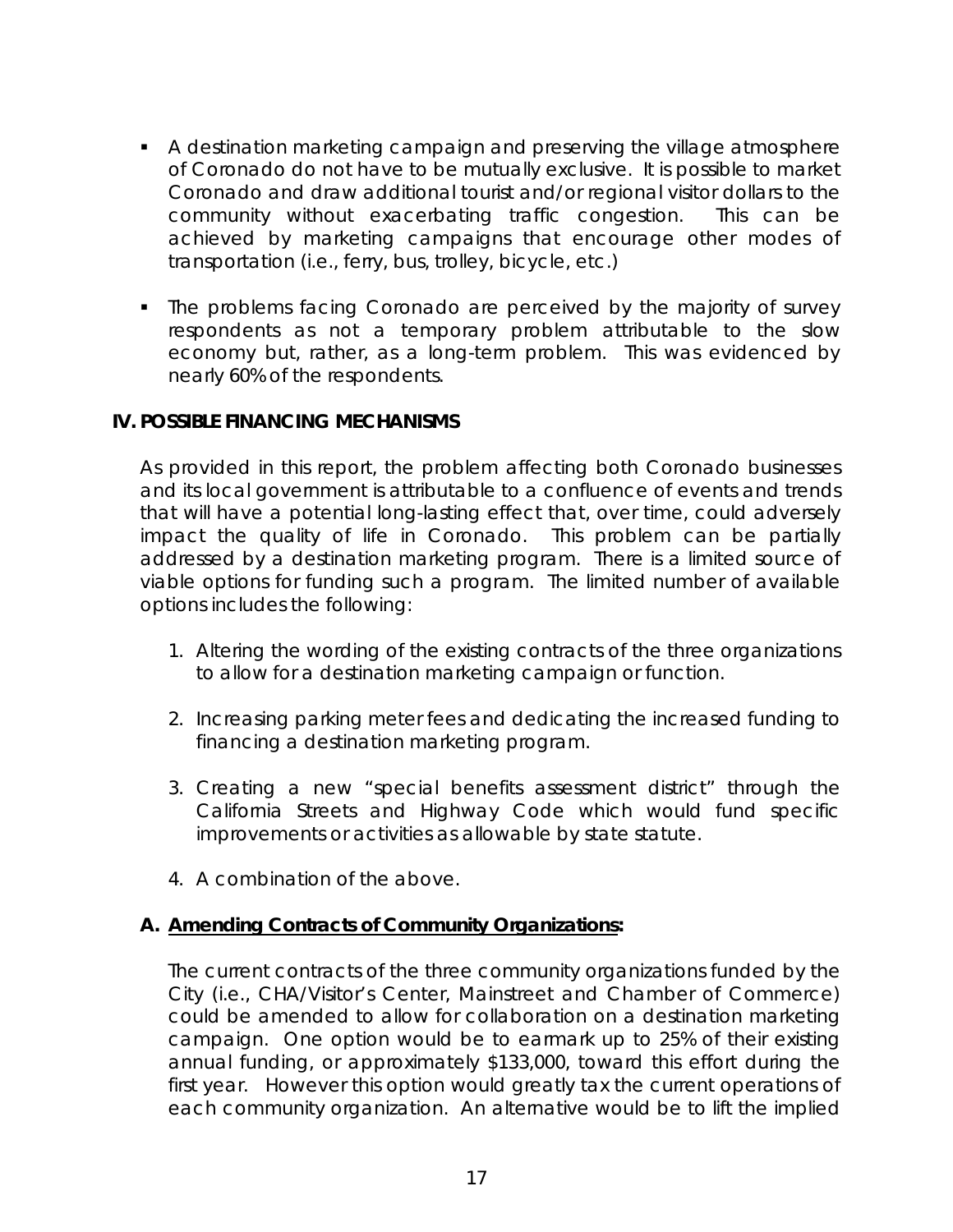- A destination marketing campaign and preserving the village atmosphere of Coronado do not have to be mutually exclusive. It is possible to market Coronado and draw additional tourist and/or regional visitor dollars to the community without exacerbating traffic congestion. This can be achieved by marketing campaigns that encourage other modes of transportation (i.e., ferry, bus, trolley, bicycle, etc.)
- The problems facing Coronado are perceived by the majority of survey respondents as not a temporary problem attributable to the slow economy but, rather, as a long-term problem. This was evidenced by nearly 60% of the respondents.

## **IV. POSSIBLE FINANCING MECHANISMS**

As provided in this report, the problem affecting both Coronado businesses and its local government is attributable to a confluence of events and trends that will have a potential long-lasting effect that, over time, could adversely impact the quality of life in Coronado. This problem can be partially addressed by a destination marketing program. There is a limited source of viable options for funding such a program. The limited number of available options includes the following:

- 1. Altering the wording of the existing contracts of the three organizations to allow for a destination marketing campaign or function.
- 2. Increasing parking meter fees and dedicating the increased funding to financing a destination marketing program.
- 3. Creating a new "special benefits assessment district" through the California Streets and Highway Code which would fund specific improvements or activities as allowable by state statute.
- 4. A combination of the above.

### **A. Amending Contracts of Community Organizations:**

 The current contracts of the three community organizations funded by the City (i.e., CHA/Visitor's Center, Mainstreet and Chamber of Commerce) could be amended to allow for collaboration on a destination marketing campaign. One option would be to earmark up to 25% of their existing annual funding, or approximately \$133,000, toward this effort during the first year. However this option would greatly tax the current operations of each community organization. An alternative would be to lift the implied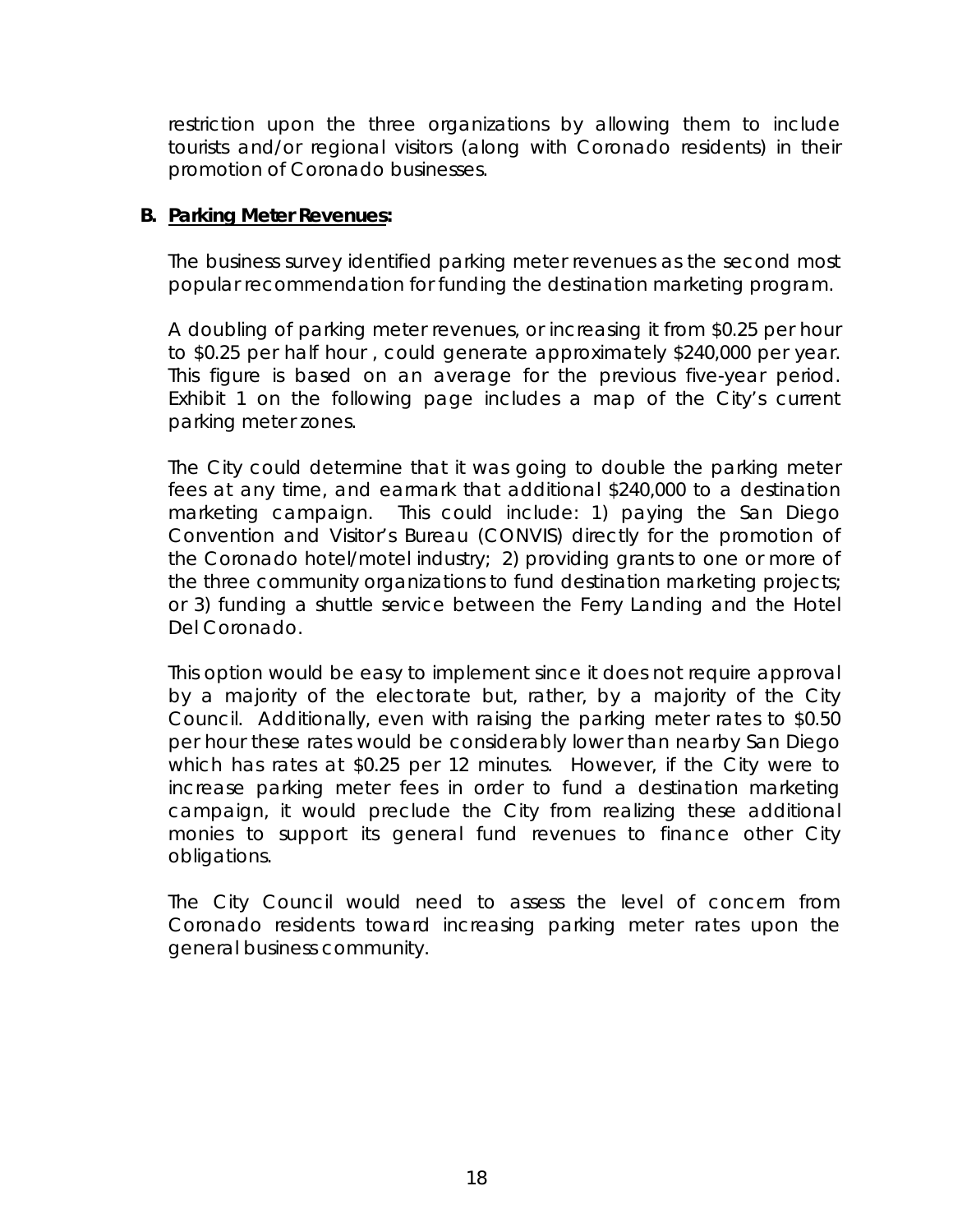restriction upon the three organizations by allowing them to include tourists and/or regional visitors (along with Coronado residents) in their promotion of Coronado businesses.

## **B. Parking Meter Revenues:**

The business survey identified parking meter revenues as the second most popular recommendation for funding the destination marketing program.

A doubling of parking meter revenues, or increasing it from \$0.25 per hour to \$0.25 per half hour , could generate approximately \$240,000 per year. This figure is based on an average for the previous five-year period. Exhibit 1 on the following page includes a map of the City's current parking meter zones.

The City could determine that it was going to double the parking meter fees at any time, and earmark that additional \$240,000 to a destination marketing campaign. This could include: 1) paying the San Diego Convention and Visitor's Bureau (CONVIS) directly for the promotion of the Coronado hotel/motel industry; 2) providing grants to one or more of the three community organizations to fund destination marketing projects; or 3) funding a shuttle service between the Ferry Landing and the Hotel Del Coronado.

This option would be easy to implement since it does not require approval by a majority of the electorate but, rather, by a majority of the City Council. Additionally, even with raising the parking meter rates to \$0.50 per hour these rates would be considerably lower than nearby San Diego which has rates at \$0.25 per 12 minutes. However, if the City were to increase parking meter fees in order to fund a destination marketing campaign, it would preclude the City from realizing these additional monies to support its general fund revenues to finance other City obligations.

The City Council would need to assess the level of concern from Coronado residents toward increasing parking meter rates upon the general business community.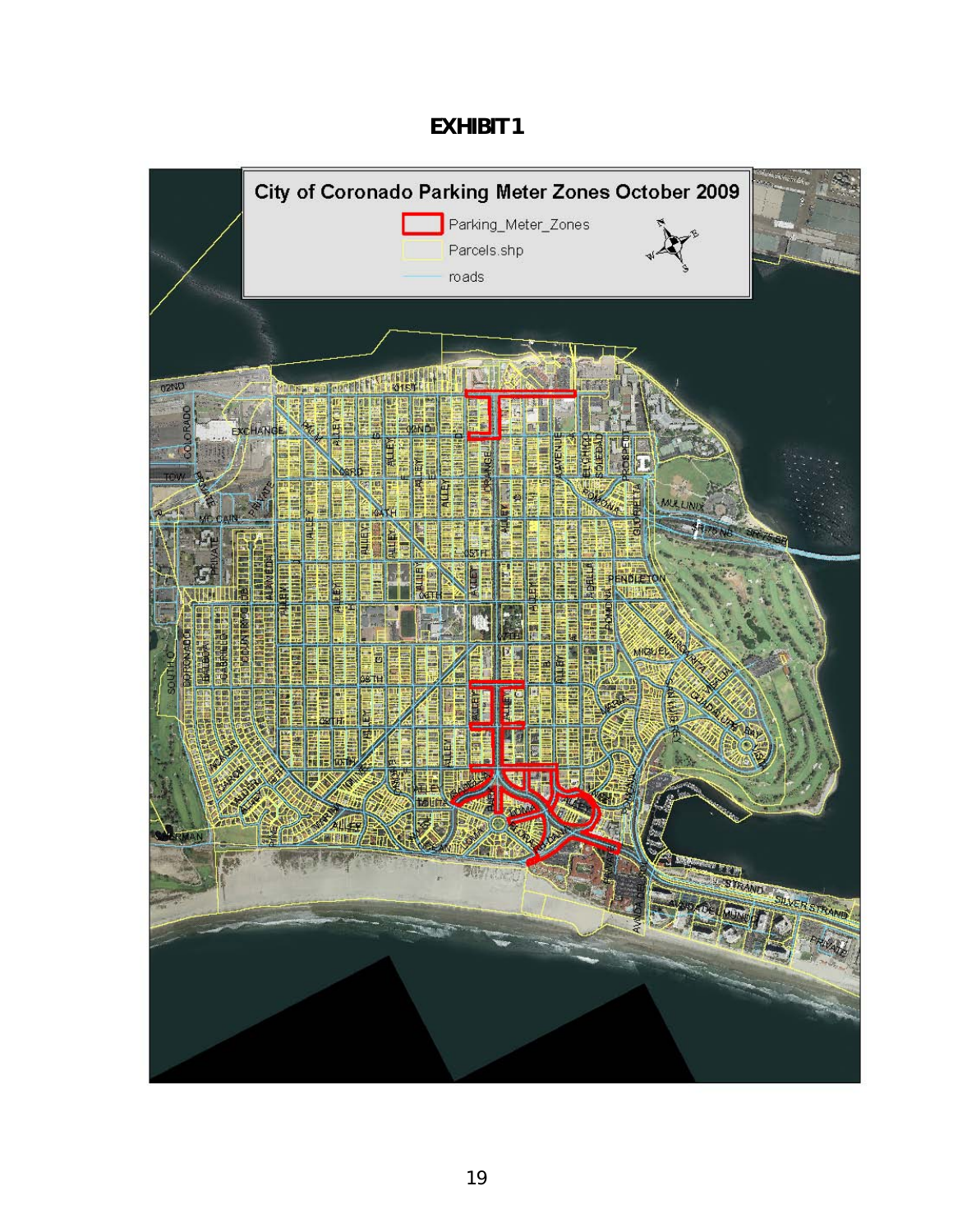## **EXHIBIT 1**

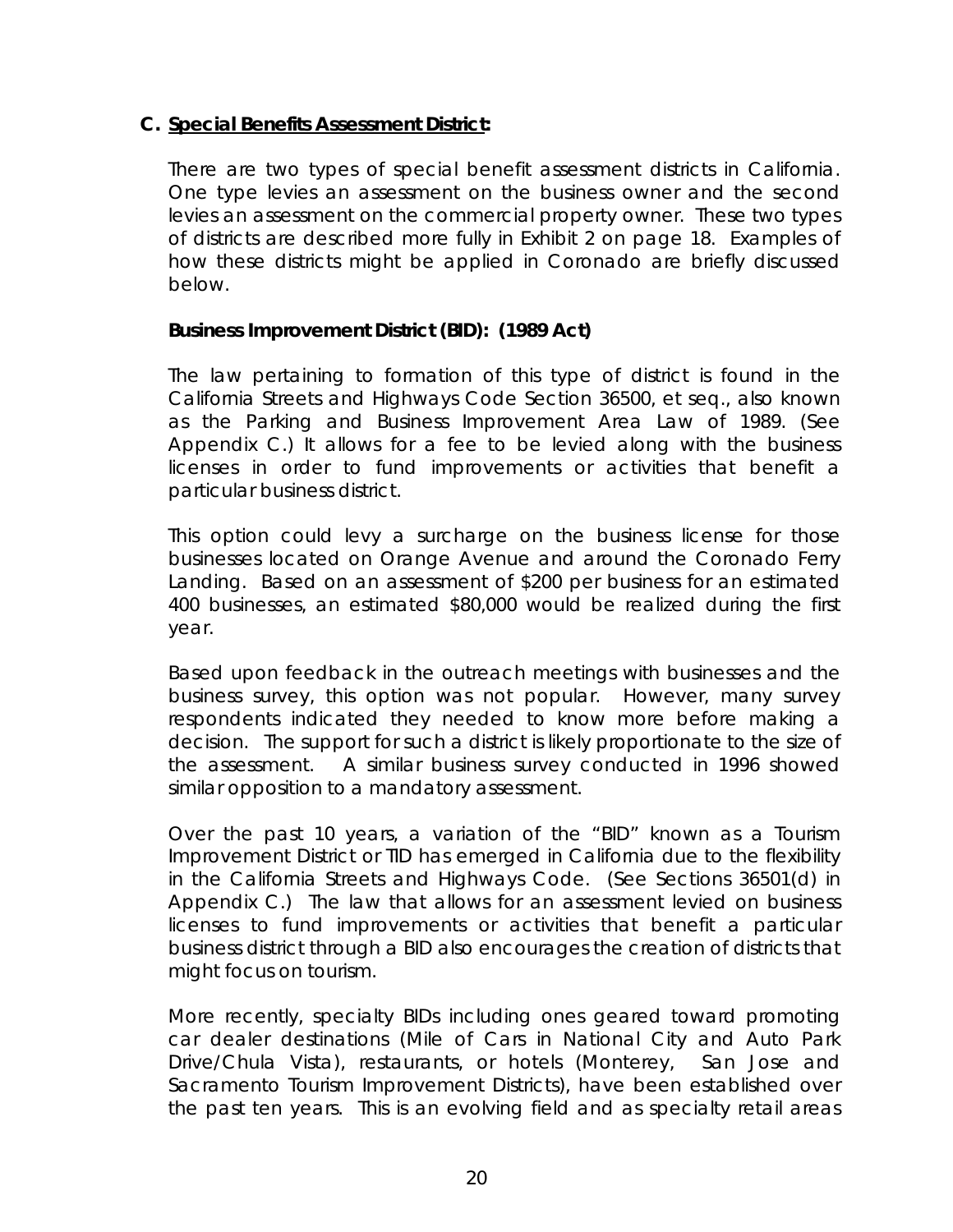## **C. Special Benefits Assessment District:**

 There are two types of special benefit assessment districts in California. One type levies an assessment on the business owner and the second levies an assessment on the commercial property owner. These two types of districts are described more fully in Exhibit 2 on page 18. Examples of how these districts might be applied in Coronado are briefly discussed below.

## *Business Improvement District (BID): (1989 Act)*

 The law pertaining to formation of this type of district is found in the California Streets and Highways Code Section 36500, et seq., also known as the Parking and Business Improvement Area Law of 1989. (See Appendix C.) It allows for a fee to be levied along with the business licenses in order to fund improvements or activities that benefit a particular business district.

This option could levy a surcharge on the business license for those businesses located on Orange Avenue and around the Coronado Ferry Landing. Based on an assessment of \$200 per business for an estimated 400 businesses, an estimated \$80,000 would be realized during the first year.

 Based upon feedback in the outreach meetings with businesses and the business survey, this option was not popular. However, many survey respondents indicated they needed to know more before making a decision. The support for such a district is likely proportionate to the size of the assessment. A similar business survey conducted in 1996 showed similar opposition to a mandatory assessment.

Over the past 10 years, a variation of the "BID" known as a Tourism Improvement District or TID has emerged in California due to the flexibility in the California Streets and Highways Code. (See Sections 36501(d) in Appendix C.) The law that allows for an assessment levied on business licenses to fund improvements or activities that benefit a particular business district through a BID also encourages the creation of districts that might focus on tourism.

More recently, specialty BIDs including ones geared toward promoting car dealer destinations (Mile of Cars in National City and Auto Park Drive/Chula Vista), restaurants, or hotels (Monterey, San Jose and Sacramento Tourism Improvement Districts), have been established over the past ten years. This is an evolving field and as specialty retail areas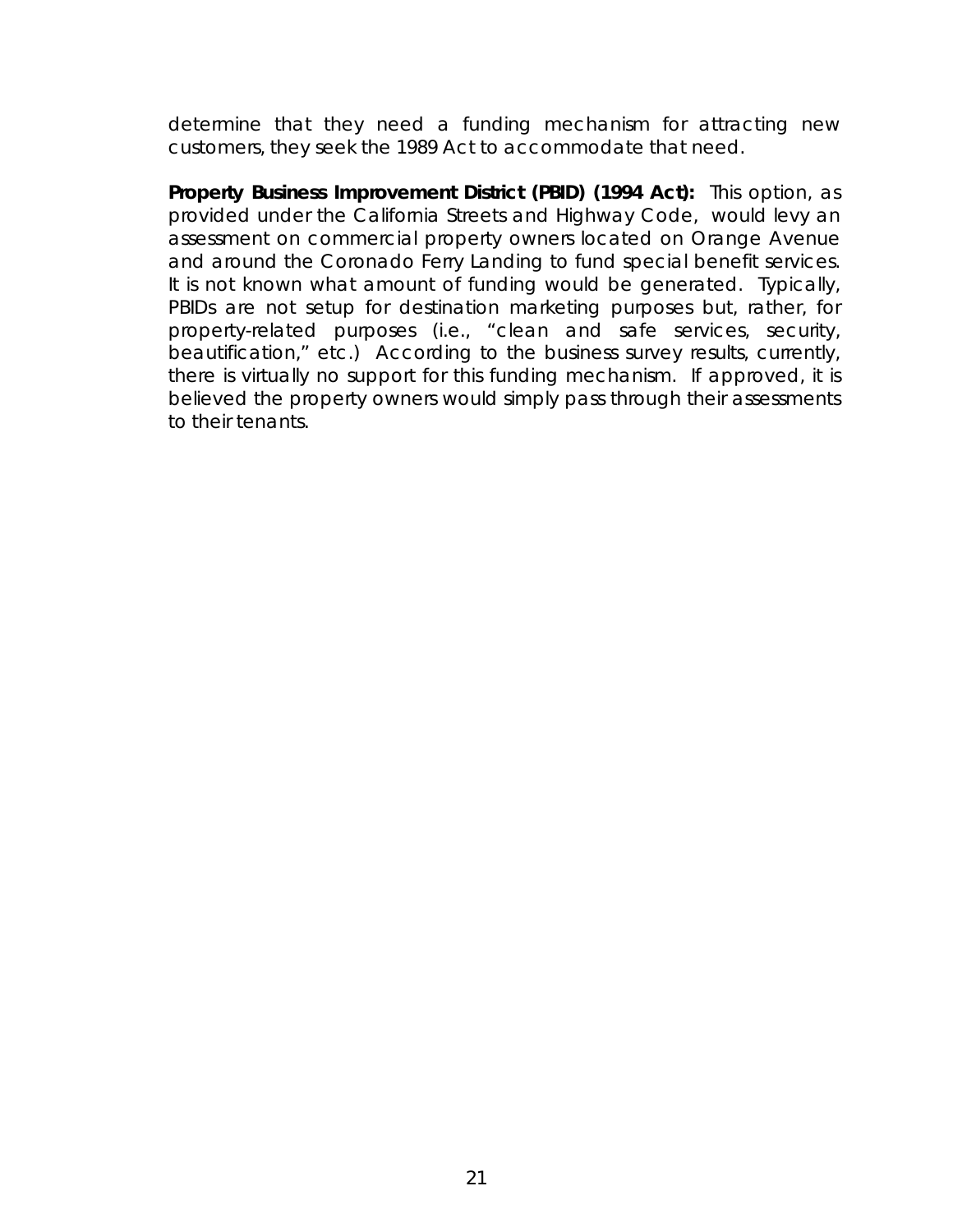determine that they need a funding mechanism for attracting new customers, they seek the 1989 Act to accommodate that need.

*Property Business Improvement District (PBID) (1994 Act):* This option, as provided under the California Streets and Highway Code, would levy an assessment on commercial property owners located on Orange Avenue and around the Coronado Ferry Landing to fund special benefit services. It is not known what amount of funding would be generated. Typically, PBIDs are not setup for destination marketing purposes but, rather, for property-related purposes (i.e., "clean and safe services, security, beautification," etc.) According to the business survey results, currently, there is virtually no support for this funding mechanism. If approved, it is believed the property owners would simply pass through their assessments to their tenants.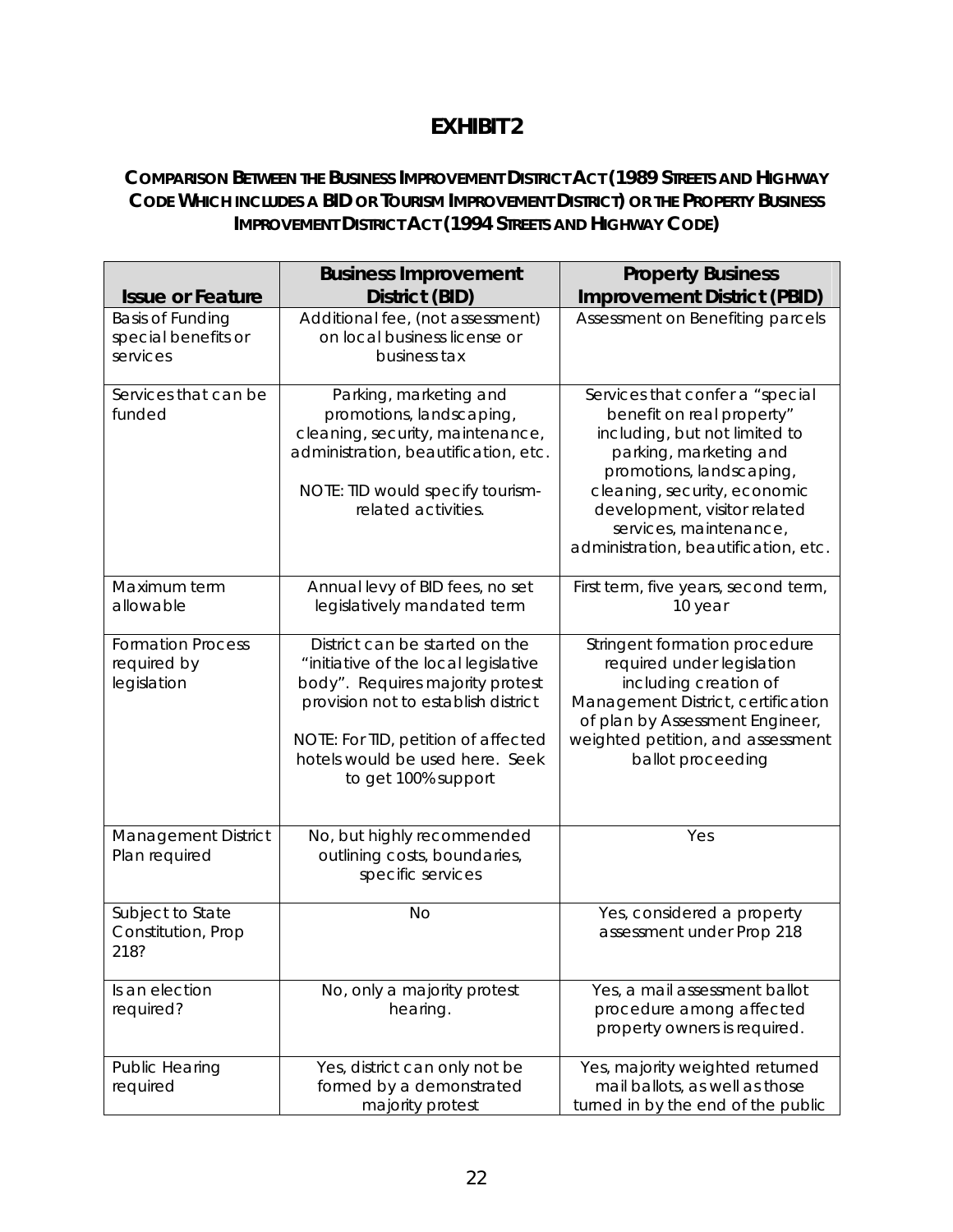## **EXHIBIT 2**

## **COMPARISON BETWEEN THE BUSINESS IMPROVEMENT DISTRICT ACT (1989 STREETS AND HIGHWAY CODE WHICH INCLUDES A BID OR TOURISM IMPROVEMENT DISTRICT) OR THE PROPERTY BUSINESS IMPROVEMENT DISTRICT ACT (1994 STREETS AND HIGHWAY CODE)**

|                                                            | <b>Business Improvement</b>                                                                                                                                                                                                                        | <b>Property Business</b>                                                                                                                                                                                                                                                              |  |
|------------------------------------------------------------|----------------------------------------------------------------------------------------------------------------------------------------------------------------------------------------------------------------------------------------------------|---------------------------------------------------------------------------------------------------------------------------------------------------------------------------------------------------------------------------------------------------------------------------------------|--|
| <b>Issue or Feature</b>                                    | District (BID)                                                                                                                                                                                                                                     | <b>Improvement District (PBID)</b>                                                                                                                                                                                                                                                    |  |
| <b>Basis of Funding</b><br>special benefits or<br>services | Additional fee, (not assessment)<br>on local business license or<br>business tax                                                                                                                                                                   | Assessment on Benefiting parcels                                                                                                                                                                                                                                                      |  |
| Services that can be<br>funded                             | Parking, marketing and<br>promotions, landscaping,<br>cleaning, security, maintenance,<br>administration, beautification, etc.<br>NOTE: TID would specify tourism-<br>related activities.                                                          | Services that confer a "special<br>benefit on real property"<br>including, but not limited to<br>parking, marketing and<br>promotions, landscaping,<br>cleaning, security, economic<br>development, visitor related<br>services, maintenance,<br>administration, beautification, etc. |  |
| Maximum term<br>allowable                                  | Annual levy of BID fees, no set<br>legislatively mandated term                                                                                                                                                                                     | First term, five years, second term,<br>10 year                                                                                                                                                                                                                                       |  |
| <b>Formation Process</b><br>required by<br>legislation     | District can be started on the<br>"initiative of the local legislative<br>body". Requires majority protest<br>provision not to establish district<br>NOTE: For TID, petition of affected<br>hotels would be used here. Seek<br>to get 100% support | Stringent formation procedure<br>required under legislation<br>including creation of<br>Management District, certification<br>of plan by Assessment Engineer,<br>weighted petition, and assessment<br>ballot proceeding                                                               |  |
| Management District<br>Plan required                       | No, but highly recommended<br>outlining costs, boundaries,<br>specific services                                                                                                                                                                    | Yes                                                                                                                                                                                                                                                                                   |  |
| Subject to State<br>Constitution, Prop<br>218?             | <b>No</b>                                                                                                                                                                                                                                          | Yes, considered a property<br>assessment under Prop 218                                                                                                                                                                                                                               |  |
| Is an election<br>required?                                | No, only a majority protest<br>hearing.                                                                                                                                                                                                            | Yes, a mail assessment ballot<br>procedure among affected<br>property owners is required.                                                                                                                                                                                             |  |
| Public Hearing<br>required                                 | Yes, district can only not be<br>formed by a demonstrated<br>majority protest                                                                                                                                                                      | Yes, majority weighted returned<br>mail ballots, as well as those<br>turned in by the end of the public                                                                                                                                                                               |  |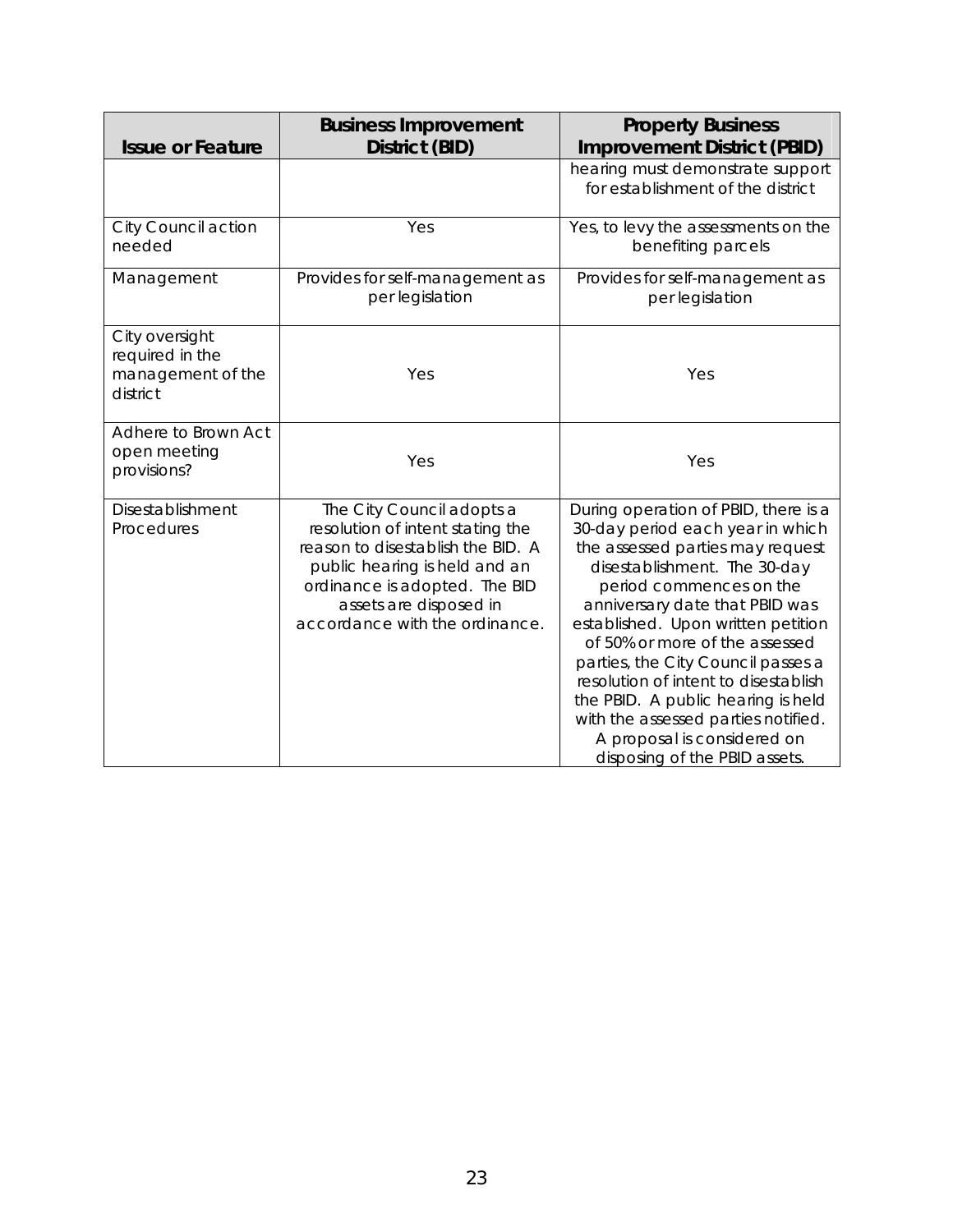| <b>Issue or Feature</b>                                            | <b>Business Improvement</b><br>District (BID)                                                                                                                                                                                    | <b>Property Business</b><br><b>Improvement District (PBID)</b>                                                                                                                                                                                                                                                                                                                                                                                                                                               |
|--------------------------------------------------------------------|----------------------------------------------------------------------------------------------------------------------------------------------------------------------------------------------------------------------------------|--------------------------------------------------------------------------------------------------------------------------------------------------------------------------------------------------------------------------------------------------------------------------------------------------------------------------------------------------------------------------------------------------------------------------------------------------------------------------------------------------------------|
|                                                                    |                                                                                                                                                                                                                                  | hearing must demonstrate support<br>for establishment of the district                                                                                                                                                                                                                                                                                                                                                                                                                                        |
| City Council action<br>needed                                      | Yes                                                                                                                                                                                                                              | Yes, to levy the assessments on the<br>benefiting parcels                                                                                                                                                                                                                                                                                                                                                                                                                                                    |
| Management                                                         | Provides for self-management as<br>per legislation                                                                                                                                                                               | Provides for self-management as<br>per legislation                                                                                                                                                                                                                                                                                                                                                                                                                                                           |
| City oversight<br>required in the<br>management of the<br>district | Yes                                                                                                                                                                                                                              | Yes                                                                                                                                                                                                                                                                                                                                                                                                                                                                                                          |
| Adhere to Brown Act<br>open meeting<br>provisions?                 | Yes                                                                                                                                                                                                                              | Yes                                                                                                                                                                                                                                                                                                                                                                                                                                                                                                          |
| Disestablishment<br>Procedures                                     | The City Council adopts a<br>resolution of intent stating the<br>reason to disestablish the BID. A<br>public hearing is held and an<br>ordinance is adopted. The BID<br>assets are disposed in<br>accordance with the ordinance. | During operation of PBID, there is a<br>30-day period each year in which<br>the assessed parties may request<br>disestablishment. The 30-day<br>period commences on the<br>anniversary date that PBID was<br>established. Upon written petition<br>of 50% or more of the assessed<br>parties, the City Council passes a<br>resolution of intent to disestablish<br>the PBID. A public hearing is held<br>with the assessed parties notified.<br>A proposal is considered on<br>disposing of the PBID assets. |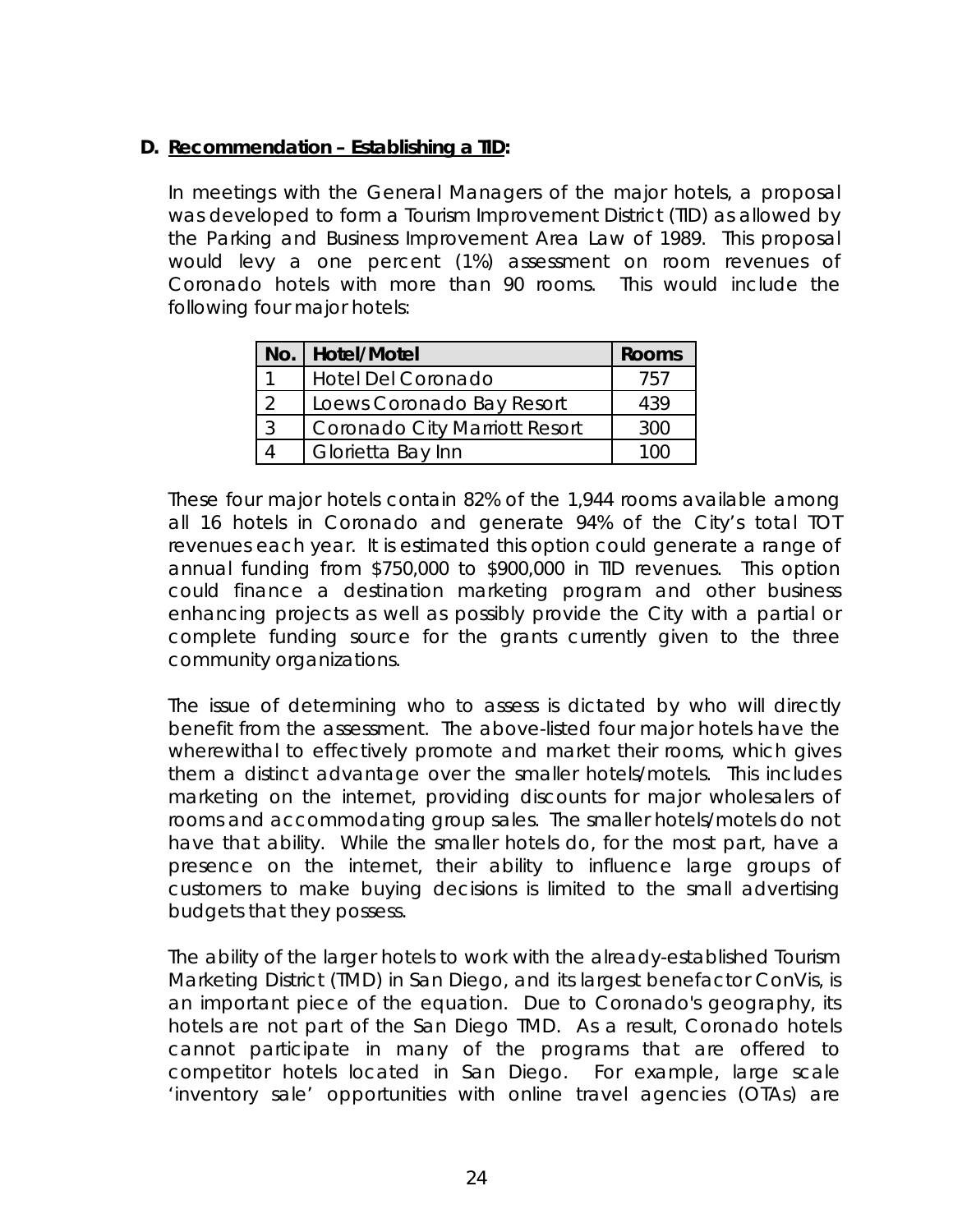## **D. Recommendation – Establishing a TID:**

In meetings with the General Managers of the major hotels, a proposal was developed to form a Tourism Improvement District (TID) as allowed by the Parking and Business Improvement Area Law of 1989. This proposal would levy a one percent (1%) assessment on room revenues of Coronado hotels with more than 90 rooms. This would include the following four major hotels:

| No.   Hotel/Motel                    | <b>Rooms</b> |
|--------------------------------------|--------------|
| <b>Hotel Del Coronado</b>            | 757          |
| Loews Coronado Bay Resort            | 439          |
| <b>Coronado City Marriott Resort</b> | 300          |
| Glorietta Bay Inn                    |              |

These four major hotels contain 82% of the 1,944 rooms available among all 16 hotels in Coronado and generate 94% of the City's total TOT revenues each year. It is estimated this option could generate a range of annual funding from \$750,000 to \$900,000 in TID revenues. This option could finance a destination marketing program and other business enhancing projects as well as possibly provide the City with a partial or complete funding source for the grants currently given to the three community organizations.

 The issue of determining who to assess is dictated by who will directly benefit from the assessment. The above-listed four major hotels have the wherewithal to effectively promote and market their rooms, which gives them a distinct advantage over the smaller hotels/motels. This includes marketing on the internet, providing discounts for major wholesalers of rooms and accommodating group sales. The smaller hotels/motels do not have that ability. While the smaller hotels do, for the most part, have a presence on the internet, their ability to influence large groups of customers to make buying decisions is limited to the small advertising budgets that they possess.

The ability of the larger hotels to work with the already-established Tourism Marketing District (TMD) in San Diego, and its largest benefactor ConVis, is an important piece of the equation. Due to Coronado's geography, its hotels are not part of the San Diego TMD. As a result, Coronado hotels cannot participate in many of the programs that are offered to competitor hotels located in San Diego. For example, large scale 'inventory sale' opportunities with online travel agencies (OTAs) are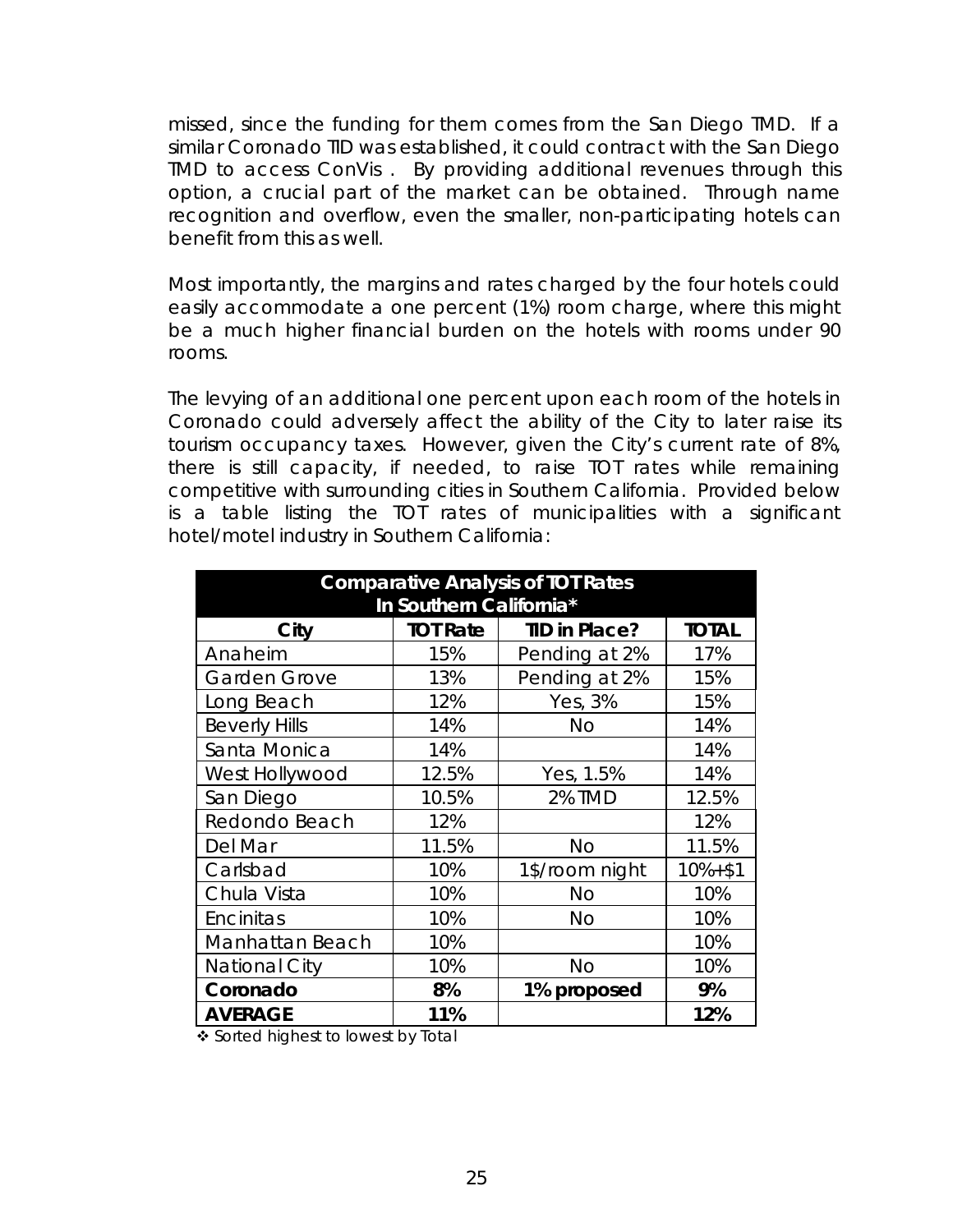missed, since the funding for them comes from the San Diego TMD. If a similar Coronado TID was established, it could contract with the San Diego TMD to access ConVis . By providing additional revenues through this option, a crucial part of the market can be obtained. Through name recognition and overflow, even the smaller, non-participating hotels can benefit from this as well.

Most importantly, the margins and rates charged by the four hotels could easily accommodate a one percent (1%) room charge, where this might be a much higher financial burden on the hotels with rooms under 90 rooms.

The levying of an additional one percent upon each room of the hotels in Coronado could adversely affect the ability of the City to later raise its tourism occupancy taxes. However, given the City's current rate of 8%, there is still capacity, if needed, to raise TOT rates while remaining competitive with surrounding cities in Southern California. Provided below is a table listing the TOT rates of municipalities with a significant hotel/motel industry in Southern California:

| <b>Comparative Analysis of TOT Rates</b> |                 |                      |              |  |  |
|------------------------------------------|-----------------|----------------------|--------------|--|--|
| In Southern California*                  |                 |                      |              |  |  |
| City                                     | <b>TOT Rate</b> | <b>TID in Place?</b> | <b>TOTAL</b> |  |  |
| Anaheim                                  | 15%             | Pending at 2%        | 17%          |  |  |
| <b>Garden Grove</b>                      | 13%             | Pending at 2%        | 15%          |  |  |
| Long Beach                               | 12%             | Yes, 3%              | 15%          |  |  |
| <b>Beverly Hills</b>                     | 14%             | <b>No</b>            | 14%          |  |  |
| Santa Monica                             | 14%             |                      | 14%          |  |  |
| West Hollywood                           | 12.5%           | Yes, 1.5%            | 14%          |  |  |
| San Diego                                | 10.5%           | <b>2% TMD</b>        | 12.5%        |  |  |
| Redondo Beach                            | 12%             |                      | 12%          |  |  |
| Del Mar                                  | 11.5%           | <b>No</b>            | 11.5%        |  |  |
| Carlsbad                                 | 10%             | 1\$/room night       | $10% + $1$   |  |  |
| Chula Vista                              | 10%             | <b>No</b>            | 10%          |  |  |
| Encinitas                                | 10%             | No                   | 10%          |  |  |
| Manhattan Beach                          | 10%             |                      | 10%          |  |  |
| National City                            | 10%             | <b>No</b>            | 10%          |  |  |
| Coronado                                 | 8%              | 1% proposed          | 9%           |  |  |
| <b>AVERAGE</b>                           | 11%             |                      | 12%          |  |  |

❖ Sorted highest to lowest by Total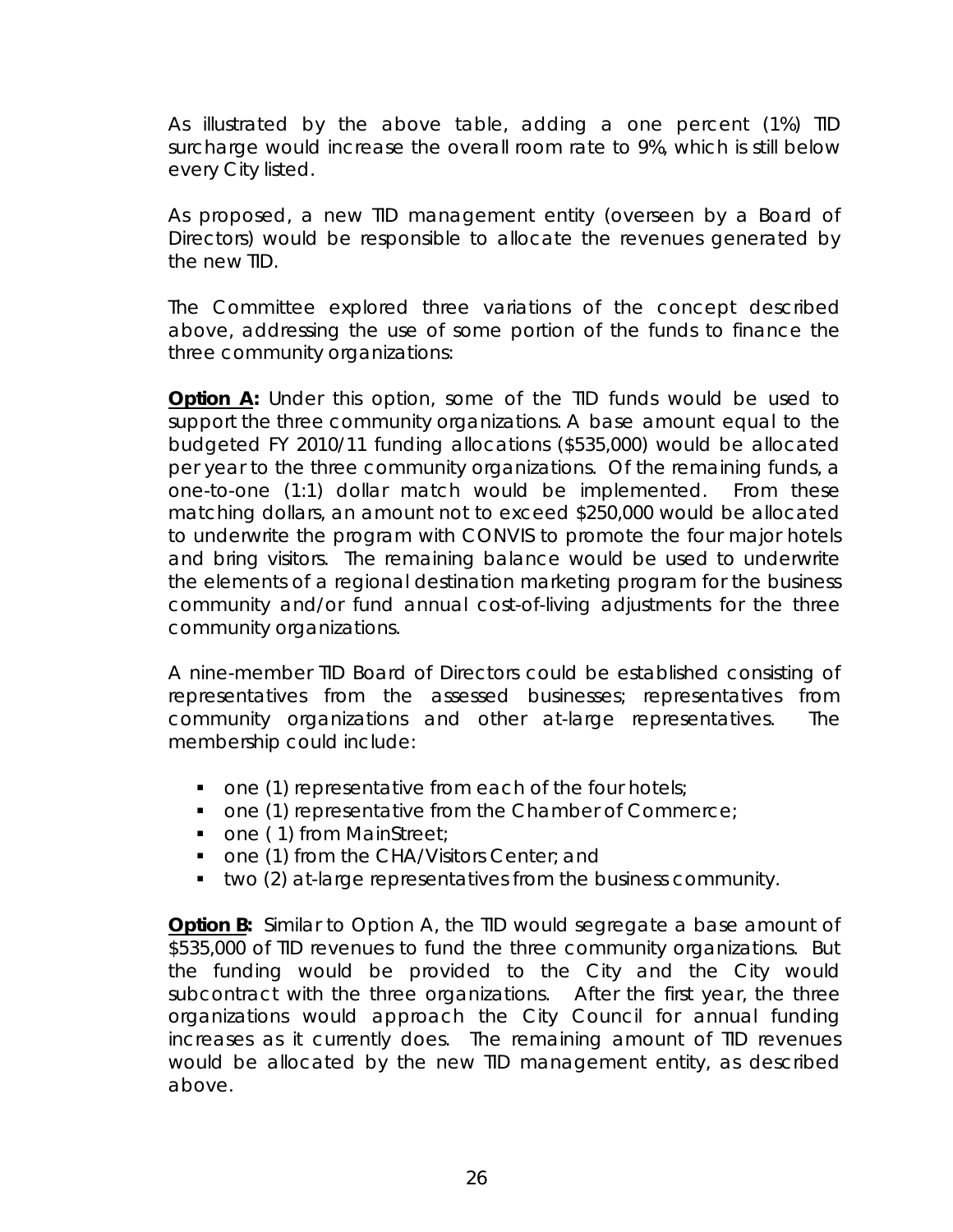As illustrated by the above table, adding a one percent (1%) TID surcharge would increase the overall room rate to 9%, which is still below every City listed.

As proposed, a new TID management entity (overseen by a Board of Directors) would be responsible to allocate the revenues generated by the new TID.

The Committee explored three variations of the concept described above, addressing the use of some portion of the funds to finance the three community organizations:

**Option A:** Under this option, some of the TID funds would be used to support the three community organizations. A base amount equal to the budgeted FY 2010/11 funding allocations (\$535,000) would be allocated per year to the three community organizations. Of the remaining funds, a one-to-one (1:1) dollar match would be implemented. From these matching dollars, an amount not to exceed \$250,000 would be allocated to underwrite the program with CONVIS to promote the four major hotels and bring visitors. The remaining balance would be used to underwrite the elements of a regional destination marketing program for the business community and/or fund annual cost-of-living adjustments for the three community organizations.

A nine-member TID Board of Directors could be established consisting of representatives from the assessed businesses; representatives from community organizations and other at-large representatives. The membership could include:

- $\blacksquare$  one (1) representative from each of the four hotels;
- **one (1) representative from the Chamber of Commerce;**
- one (1) from MainStreet;
- one (1) from the CHA/Visitors Center; and
- two (2) at-large representatives from the business community.

**Option B:** Similar to Option A, the TID would segregate a base amount of \$535,000 of TID revenues to fund the three community organizations. But the funding would be provided to the City and the City would subcontract with the three organizations. After the first year, the three organizations would approach the City Council for annual funding increases as it currently does. The remaining amount of TID revenues would be allocated by the new TID management entity, as described above.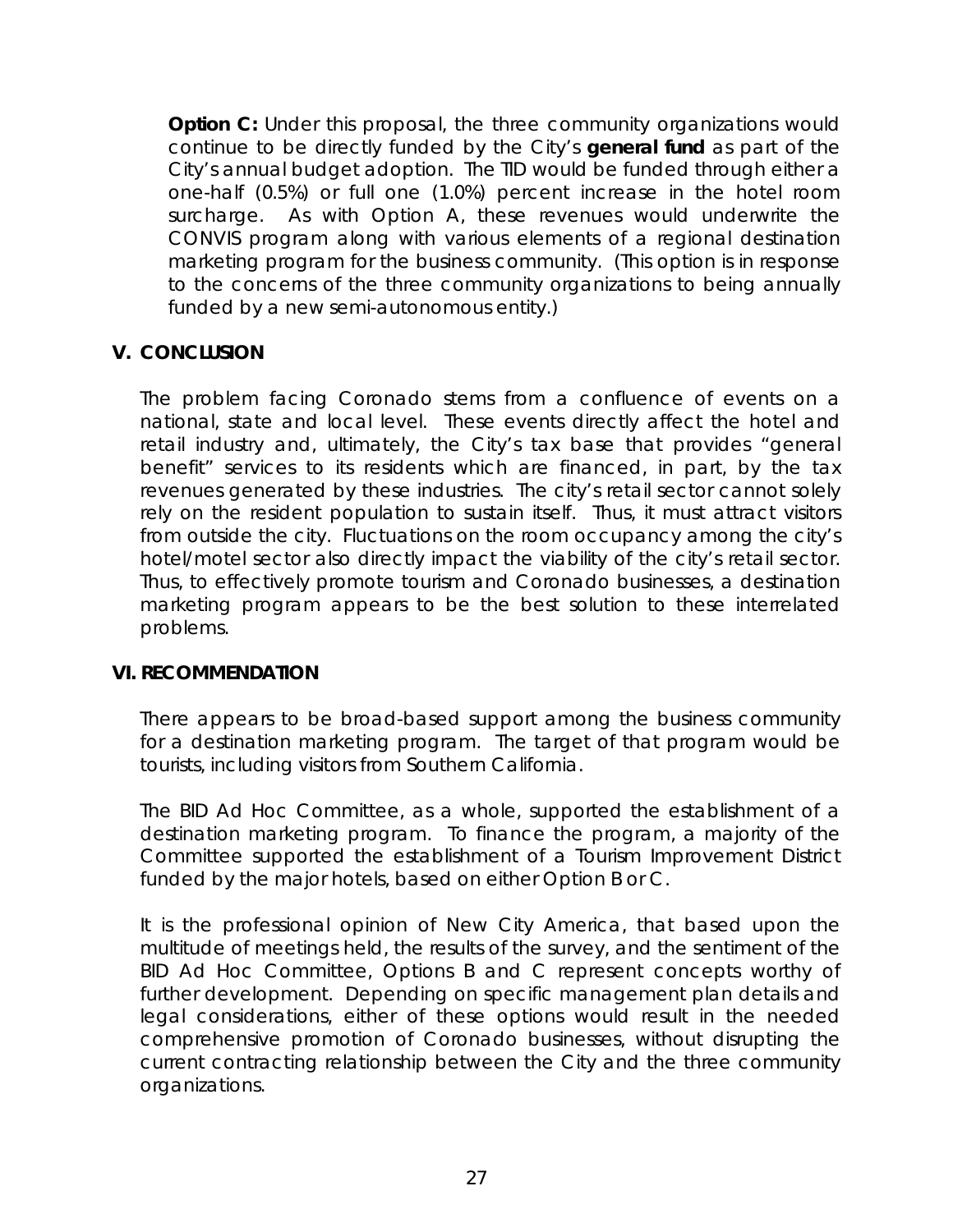**Option C:** Under this proposal, the three community organizations would continue to be directly funded by the City's **general fund** as part of the City's annual budget adoption. The TID would be funded through either a one-half (0.5%) or full one (1.0%) percent increase in the hotel room surcharge. As with Option A, these revenues would underwrite the CONVIS program along with various elements of a regional destination marketing program for the business community. (This option is in response to the concerns of the three community organizations to being annually funded by a new semi-autonomous entity.)

## **V. CONCLUSION**

The problem facing Coronado stems from a confluence of events on a national, state and local level. These events directly affect the hotel and retail industry and, ultimately, the City's tax base that provides "general benefit" services to its residents which are financed, in part, by the tax revenues generated by these industries. The city's retail sector cannot solely rely on the resident population to sustain itself. Thus, it must attract visitors from outside the city. Fluctuations on the room occupancy among the city's hotel/motel sector also directly impact the viability of the city's retail sector. Thus, to effectively promote tourism and Coronado businesses, a destination marketing program appears to be the best solution to these interrelated problems.

## **VI. RECOMMENDATION**

 There appears to be broad-based support among the business community for a destination marketing program. The target of that program would be tourists, including visitors from Southern California.

The BID Ad Hoc Committee, as a whole, supported the establishment of a destination marketing program. To finance the program, a majority of the Committee supported the establishment of a Tourism Improvement District funded by the major hotels, based on either Option B or C.

It is the professional opinion of New City America, that based upon the multitude of meetings held, the results of the survey, and the sentiment of the BID Ad Hoc Committee, Options B and C represent concepts worthy of further development. Depending on specific management plan details and legal considerations, either of these options would result in the needed comprehensive promotion of Coronado businesses, without disrupting the current contracting relationship between the City and the three community organizations.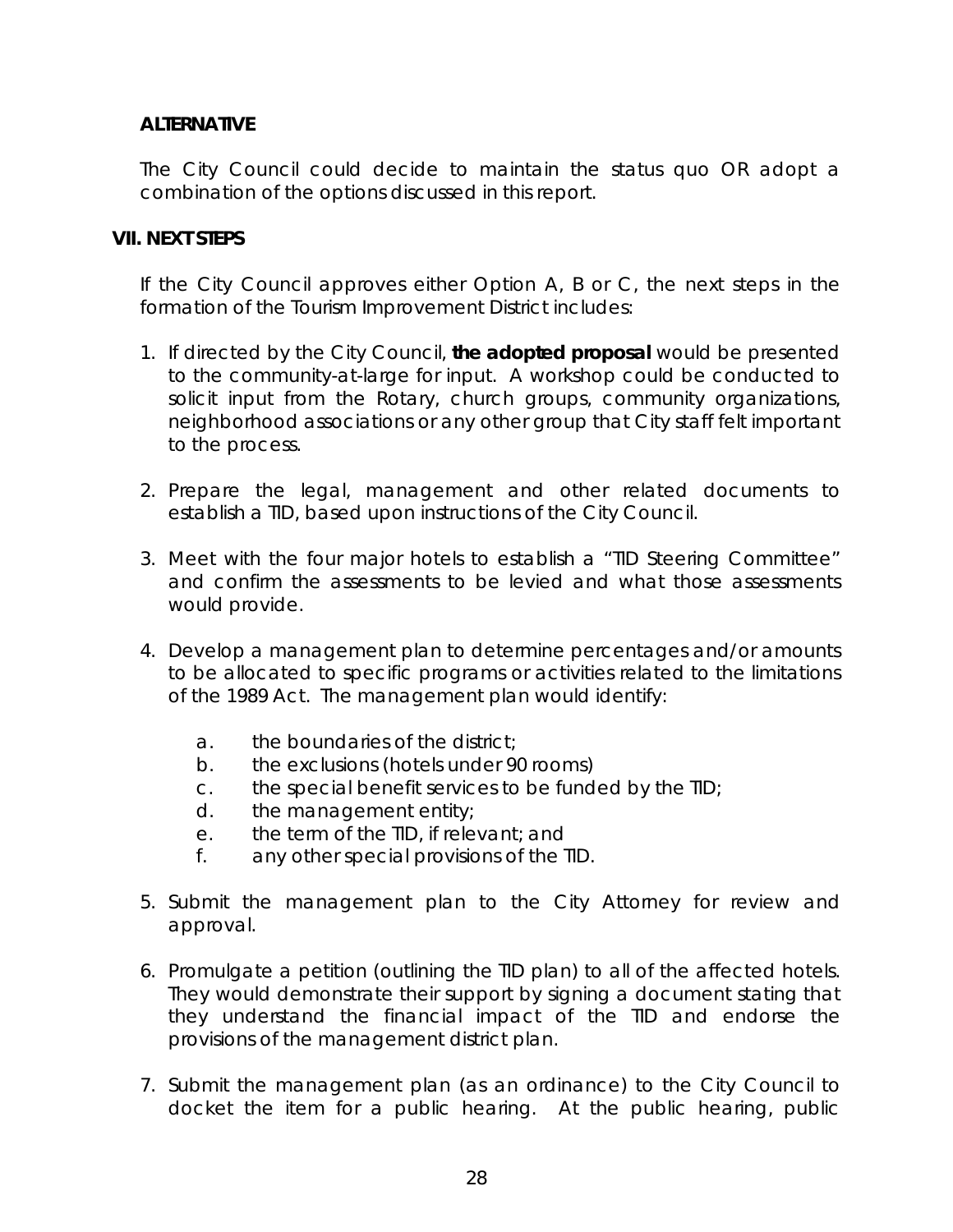## **ALTERNATIVE**

The City Council could decide to maintain the status quo OR adopt a combination of the options discussed in this report.

## **VII. NEXT STEPS**

 If the City Council approves either Option A, B or C, the next steps in the formation of the Tourism Improvement District includes:

- 1. If directed by the City Council, *the adopted proposal* would be presented to the community-at-large for input. A workshop could be conducted to solicit input from the Rotary, church groups, community organizations, neighborhood associations or any other group that City staff felt important to the process.
- 2. Prepare the legal, management and other related documents to establish a TID, based upon instructions of the City Council.
- 3. Meet with the four major hotels to establish a "TID Steering Committee" and confirm the assessments to be levied and what those assessments would provide.
- 4. Develop a management plan to determine percentages and/or amounts to be allocated to specific programs or activities related to the limitations of the 1989 Act. The management plan would identify:
	- a. the boundaries of the district;
	- b. the exclusions (hotels under 90 rooms)
	- c. the special benefit services to be funded by the TID;
	- d. the management entity;
	- e. the term of the TID, if relevant; and
	- f. any other special provisions of the TID.
- 5. Submit the management plan to the City Attorney for review and approval.
- 6. Promulgate a petition (outlining the TID plan) to all of the affected hotels. They would demonstrate their support by signing a document stating that they understand the financial impact of the TID and endorse the provisions of the management district plan.
- 7. Submit the management plan (as an ordinance) to the City Council to docket the item for a public hearing. At the public hearing, public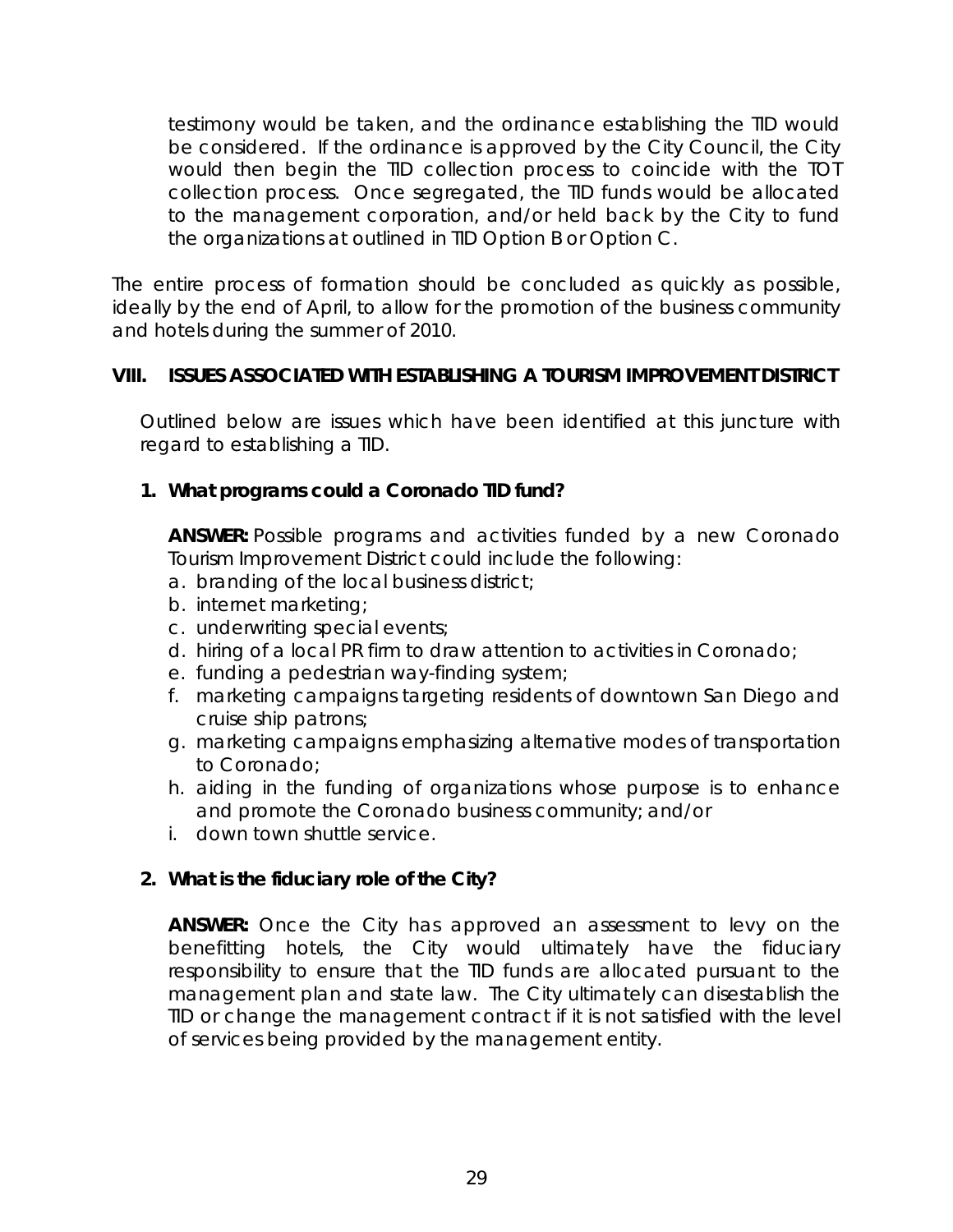testimony would be taken, and the ordinance establishing the TID would be considered. If the ordinance is approved by the City Council, the City would then begin the TID collection process to coincide with the TOT collection process. Once segregated, the TID funds would be allocated to the management corporation, and/or held back by the City to fund the organizations at outlined in TID Option B or Option C.

The entire process of formation should be concluded as quickly as possible, ideally by the end of April, to allow for the promotion of the business community and hotels during the summer of 2010.

## **VIII. ISSUES ASSOCIATED WITH ESTABLISHING A TOURISM IMPROVEMENT DISTRICT**

 Outlined below are issues which have been identified at this juncture with regard to establishing a TID.

## **1.** *What programs could a Coronado TID fund?*

 **ANSWER:** Possible programs and activities funded by a new Coronado Tourism Improvement District could include the following:

- a. branding of the local business district;
- b. internet marketing;
- c. underwriting special events;
- d. hiring of a local PR firm to draw attention to activities in Coronado;
- e. funding a pedestrian way-finding system;
- f. marketing campaigns targeting residents of downtown San Diego and cruise ship patrons;
- g. marketing campaigns emphasizing alternative modes of transportation to Coronado;
- h. aiding in the funding of organizations whose purpose is to enhance and promote the Coronado business community; and/or
- i. down town shuttle service.

## **2.** *What is the fiduciary role of the City?*

**ANSWER:** Once the City has approved an assessment to levy on the benefitting hotels, the City would ultimately have the fiduciary responsibility to ensure that the TID funds are allocated pursuant to the management plan and state law. The City ultimately can disestablish the TID or change the management contract if it is not satisfied with the level of services being provided by the management entity.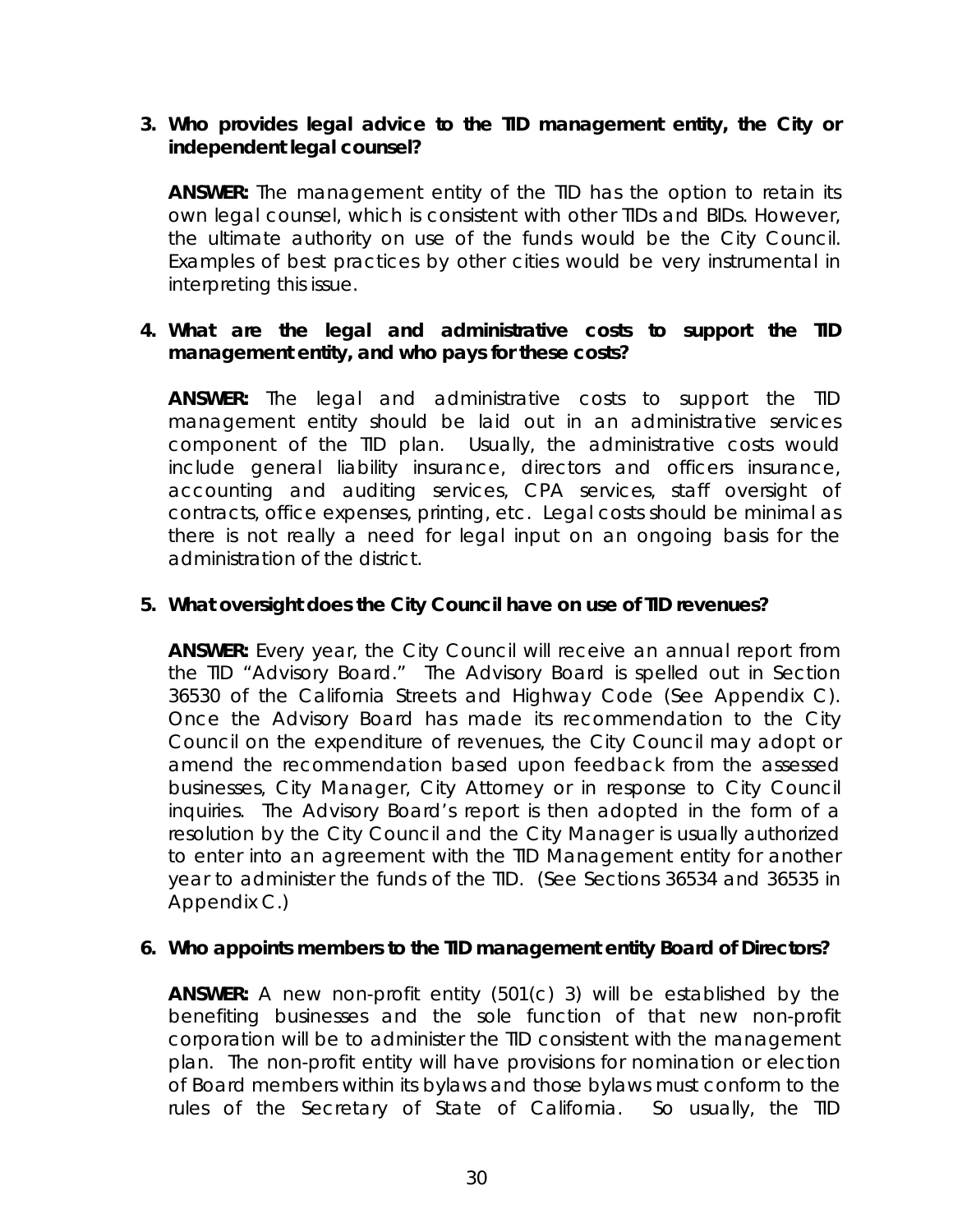## **3.** *Who provides legal advice to the TID management entity, the City or independent legal counsel?*

**ANSWER:** The management entity of the TID has the option to retain its own legal counsel, which is consistent with other TIDs and BIDs. However, the ultimate authority on use of the funds would be the City Council. Examples of best practices by other cities would be very instrumental in interpreting this issue.

## **4.** *What are the legal and administrative costs to support the TID management entity, and who pays for these costs?*

**ANSWER:** The legal and administrative costs to support the TID management entity should be laid out in an administrative services component of the TID plan. Usually, the administrative costs would include general liability insurance, directors and officers insurance, accounting and auditing services, CPA services, staff oversight of contracts, office expenses, printing, etc. Legal costs should be minimal as there is not really a need for legal input on an ongoing basis for the administration of the district.

## **5.** *What oversight does the City Council have on use of TID revenues?*

**ANSWER:** Every year, the City Council will receive an annual report from the TID "Advisory Board." The Advisory Board is spelled out in Section 36530 of the California Streets and Highway Code (See Appendix C). Once the Advisory Board has made its recommendation to the City Council on the expenditure of revenues, the City Council may adopt or amend the recommendation based upon feedback from the assessed businesses, City Manager, City Attorney or in response to City Council inquiries. The Advisory Board's report is then adopted in the form of a resolution by the City Council and the City Manager is usually authorized to enter into an agreement with the TID Management entity for another year to administer the funds of the TID. (See Sections 36534 and 36535 in Appendix C.)

## **6.** *Who appoints members to the TID management entity Board of Directors?*

**ANSWER:** A new non-profit entity (501(c) 3) will be established by the benefiting businesses and the sole function of that new non-profit corporation will be to administer the TID consistent with the management plan. The non-profit entity will have provisions for nomination or election of Board members within its bylaws and those bylaws must conform to the rules of the Secretary of State of California. So usually, the TID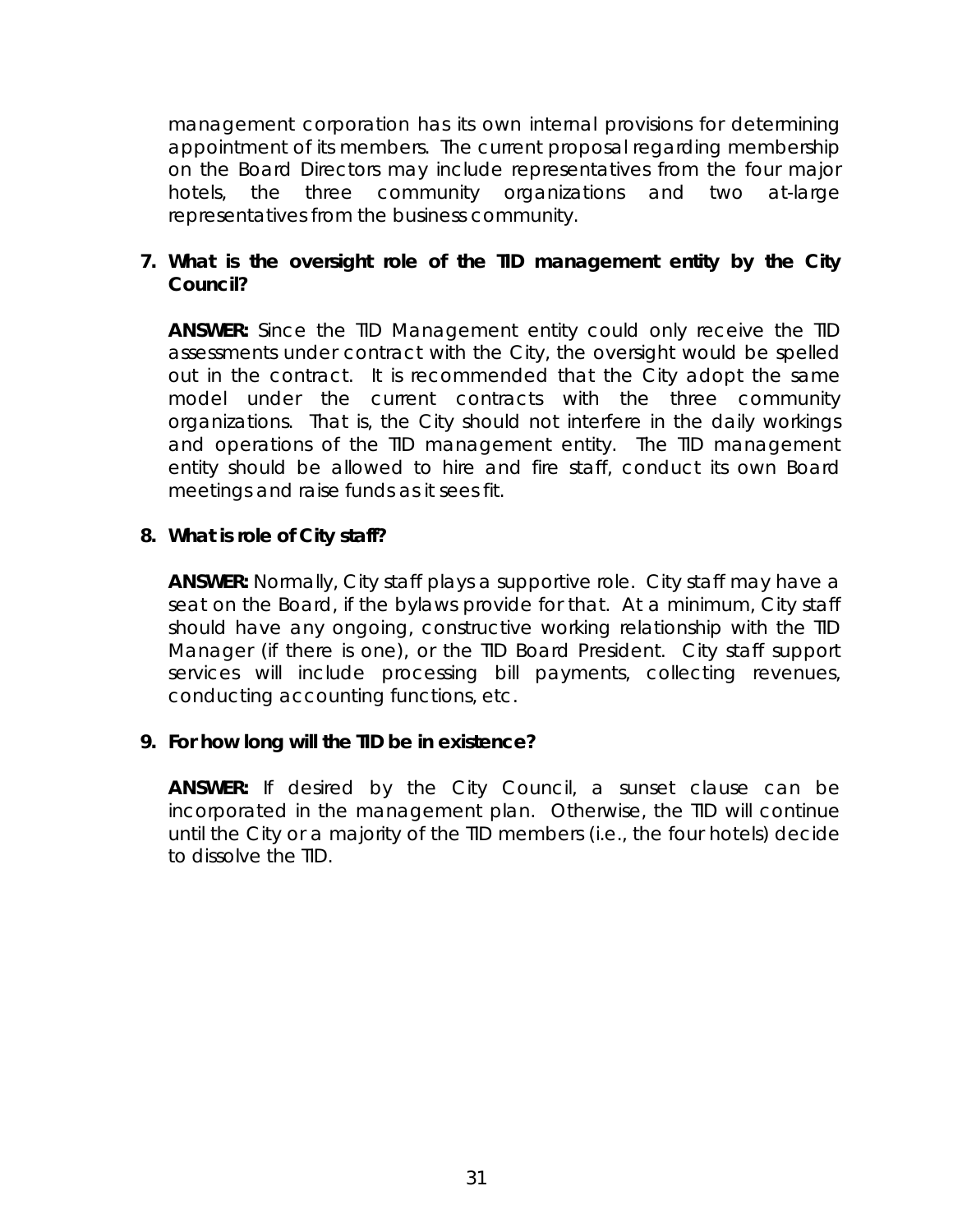management corporation has its own internal provisions for determining appointment of its members. The current proposal regarding membership on the Board Directors may include representatives from the four major hotels, the three community organizations and two at-large representatives from the business community.

## **7.** *What is the oversight role of the TID management entity by the City Council?*

 **ANSWER:** Since the TID Management entity could only receive the TID assessments under contract with the City, the oversight would be spelled out in the contract. It is recommended that the City adopt the same model under the current contracts with the three community organizations. That is, the City should not interfere in the daily workings and operations of the TID management entity. The TID management entity should be allowed to hire and fire staff, conduct its own Board meetings and raise funds as it sees fit.

## **8.** *What is role of City staff?*

**ANSWER:** Normally, City staff plays a supportive role. City staff may have a seat on the Board, if the bylaws provide for that. At a minimum, City staff should have any ongoing, constructive working relationship with the TID Manager (if there is one), or the TID Board President. City staff support services will include processing bill payments, collecting revenues, conducting accounting functions, etc.

## *9***.** *For how long will the TID be in existence?*

**ANSWER:** If desired by the City Council, a sunset clause can be incorporated in the management plan. Otherwise, the TID will continue until the City or a majority of the TID members (i.e., the four hotels) decide to dissolve the TID.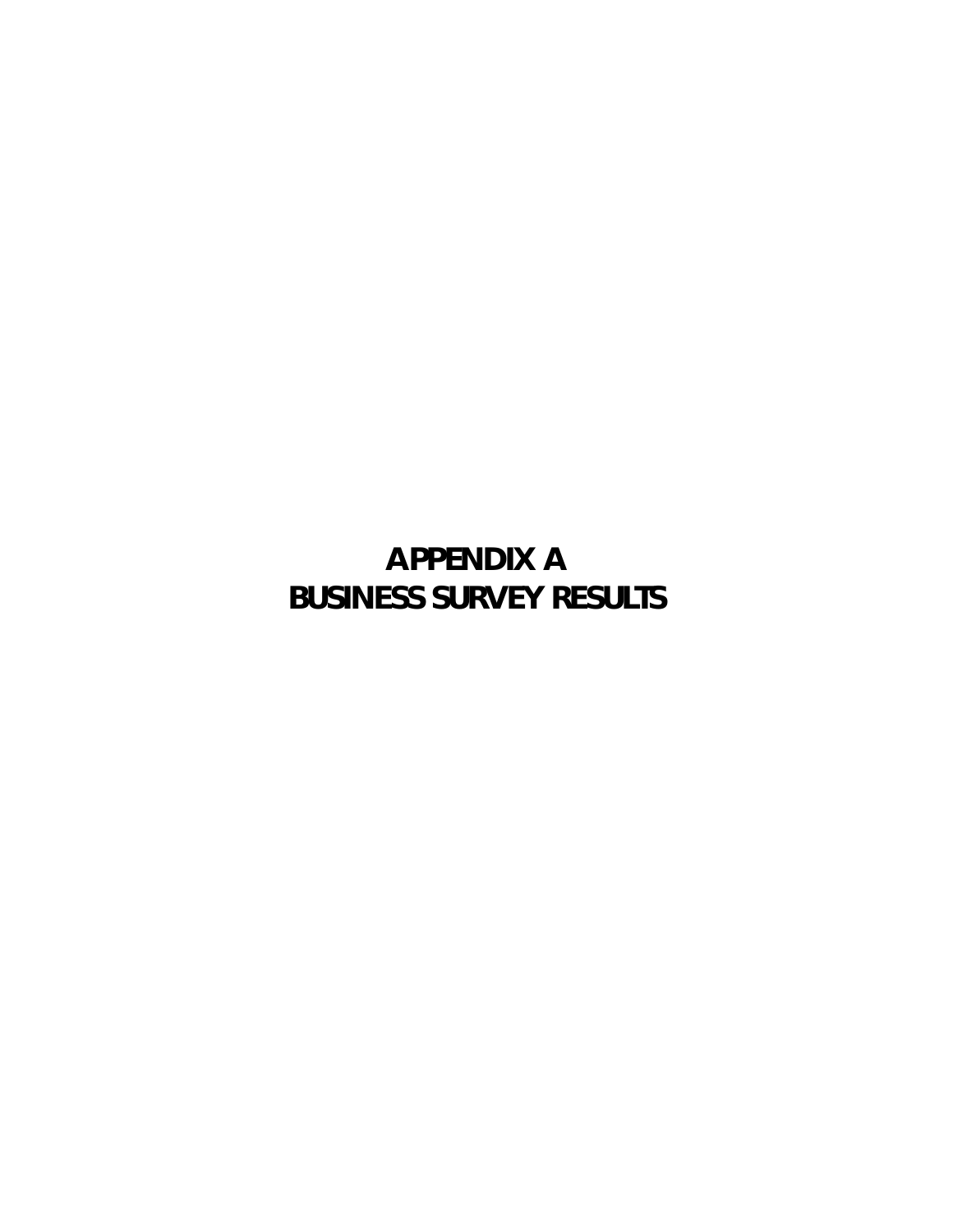**APPENDIX A BUSINESS SURVEY RESULTS**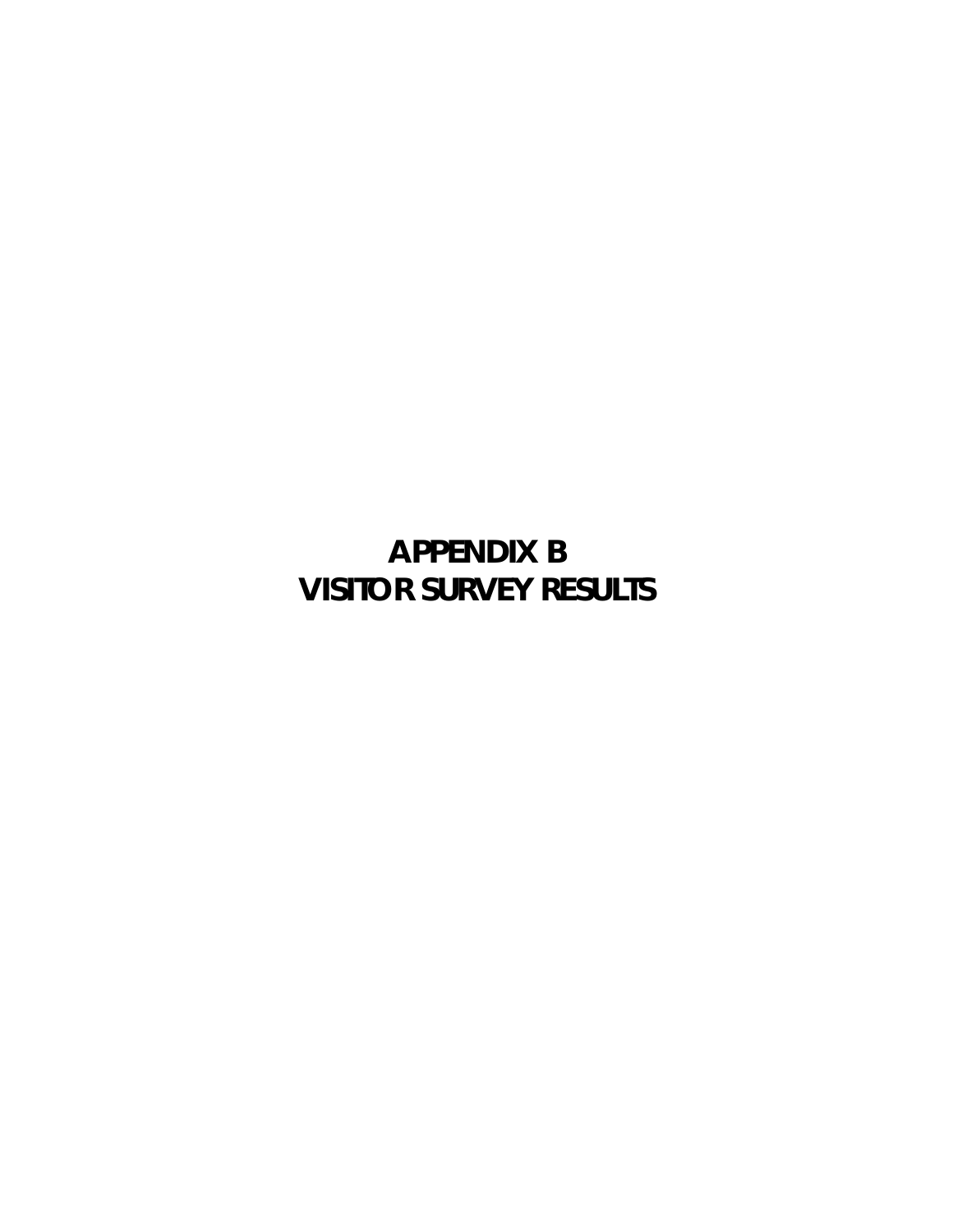**APPENDIX B VISITOR SURVEY RESULTS**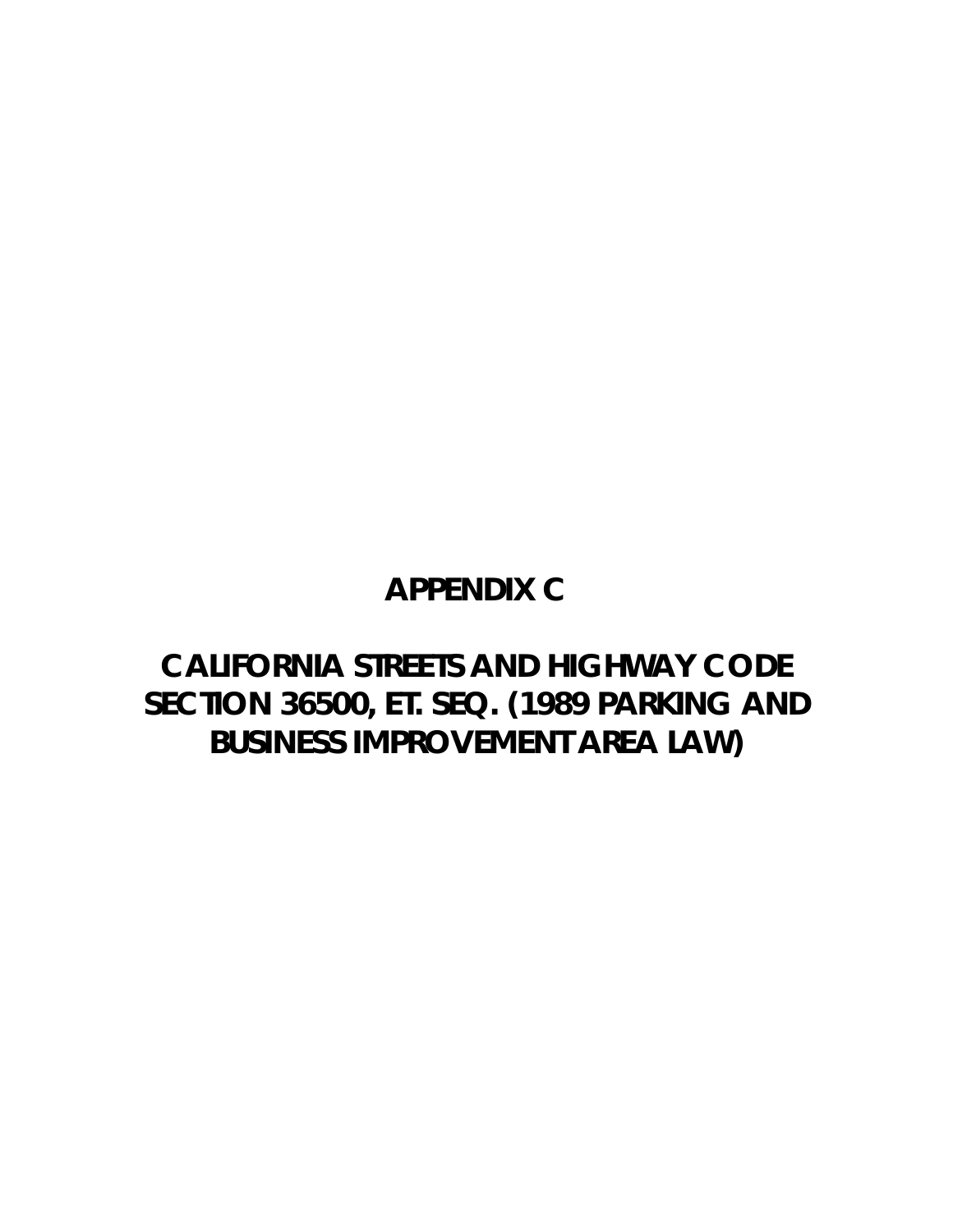## **APPENDIX C**

## **CALIFORNIA STREETS AND HIGHWAY CODE SECTION 36500, ET. SEQ. (1989 PARKING AND BUSINESS IMPROVEMENT AREA LAW)**